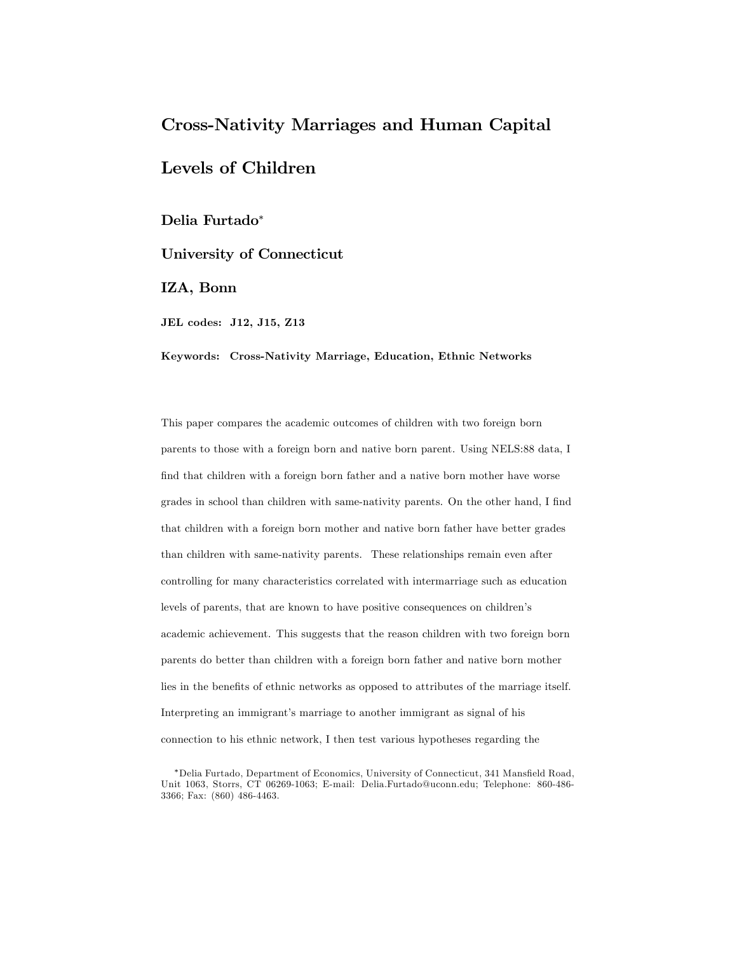# Cross-Nativity Marriages and Human Capital

# Levels of Children

Delia Furtado<sup>∗</sup>

University of Connecticut

IZA, Bonn

JEL codes: J12, J15, Z13

Keywords: Cross-Nativity Marriage, Education, Ethnic Networks

This paper compares the academic outcomes of children with two foreign born parents to those with a foreign born and native born parent. Using NELS:88 data, I find that children with a foreign born father and a native born mother have worse grades in school than children with same-nativity parents. On the other hand, I find that children with a foreign born mother and native born father have better grades than children with same-nativity parents. These relationships remain even after controlling for many characteristics correlated with intermarriage such as education levels of parents, that are known to have positive consequences on children's academic achievement. This suggests that the reason children with two foreign born parents do better than children with a foreign born father and native born mother lies in the benefits of ethnic networks as opposed to attributes of the marriage itself. Interpreting an immigrant's marriage to another immigrant as signal of his connection to his ethnic network, I then test various hypotheses regarding the

<sup>∗</sup>Delia Furtado, Department of Economics, University of Connecticut, 341 Mansfield Road, Unit 1063, Storrs, CT 06269-1063; E-mail: Delia.Furtado@uconn.edu; Telephone: 860-486- 3366; Fax: (860) 486-4463.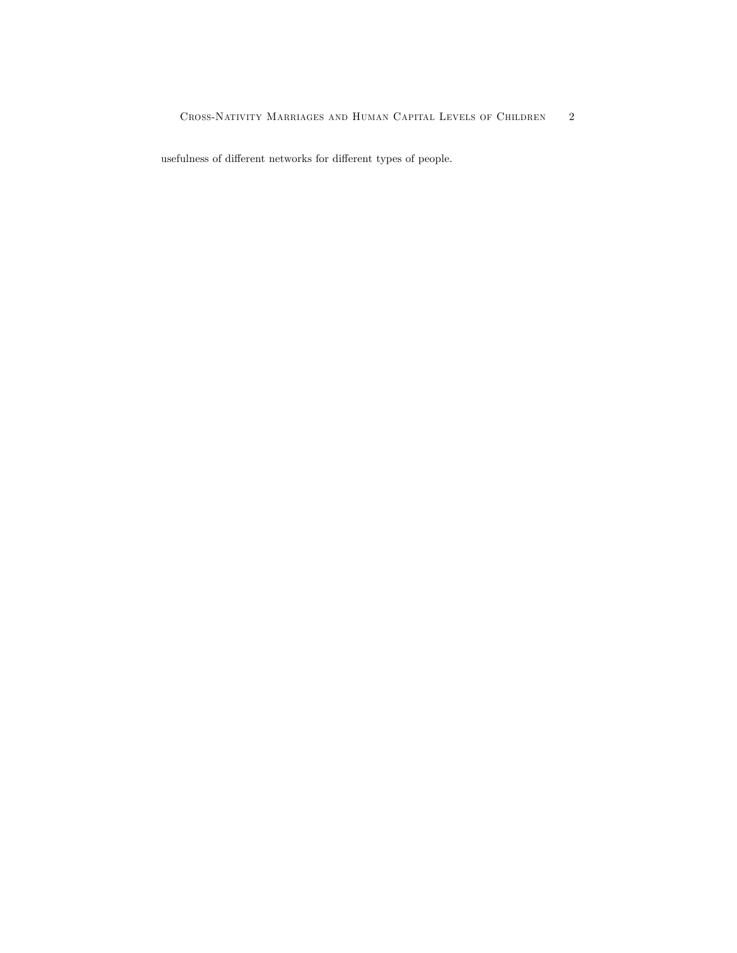usefulness of different networks for different types of people.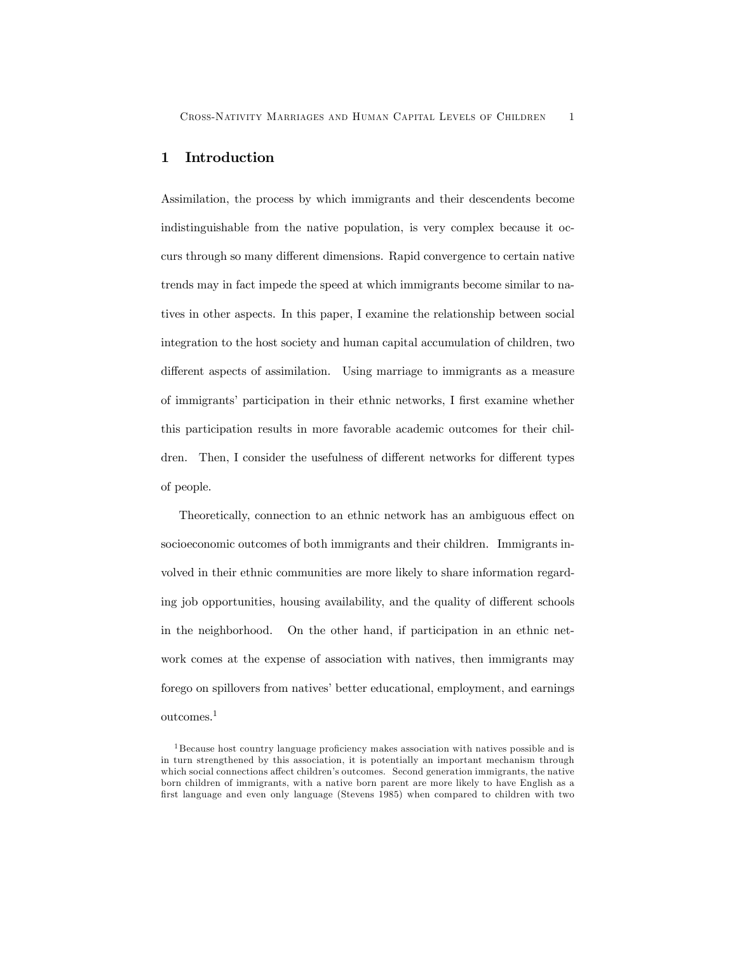## 1 Introduction

Assimilation, the process by which immigrants and their descendents become indistinguishable from the native population, is very complex because it occurs through so many different dimensions. Rapid convergence to certain native trends may in fact impede the speed at which immigrants become similar to natives in other aspects. In this paper, I examine the relationship between social integration to the host society and human capital accumulation of children, two different aspects of assimilation. Using marriage to immigrants as a measure of immigrants' participation in their ethnic networks, I first examine whether this participation results in more favorable academic outcomes for their children. Then, I consider the usefulness of different networks for different types of people.

Theoretically, connection to an ethnic network has an ambiguous effect on socioeconomic outcomes of both immigrants and their children. Immigrants involved in their ethnic communities are more likely to share information regarding job opportunities, housing availability, and the quality of different schools in the neighborhood. On the other hand, if participation in an ethnic network comes at the expense of association with natives, then immigrants may forego on spillovers from natives' better educational, employment, and earnings outcomes.1

<sup>1</sup> Because host country language proficiency makes association with natives possible and is in turn strengthened by this association, it is potentially an important mechanism through which social connections affect children's outcomes. Second generation immigrants, the native born children of immigrants, with a native born parent are more likely to have English as a first language and even only language (Stevens 1985) when compared to children with two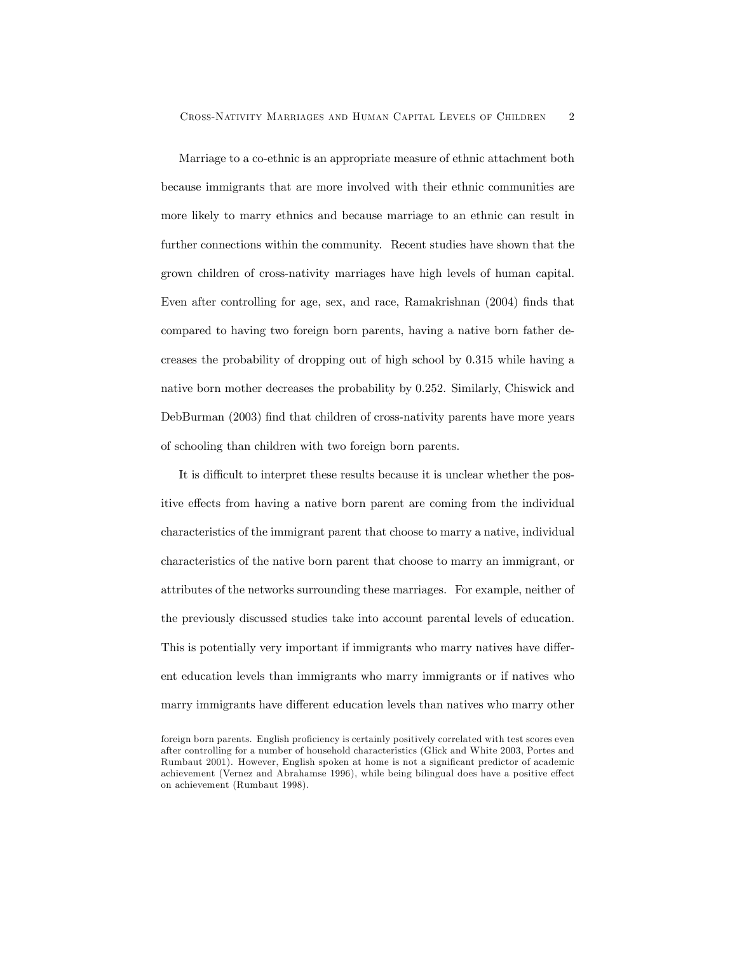Marriage to a co-ethnic is an appropriate measure of ethnic attachment both because immigrants that are more involved with their ethnic communities are more likely to marry ethnics and because marriage to an ethnic can result in further connections within the community. Recent studies have shown that the grown children of cross-nativity marriages have high levels of human capital. Even after controlling for age, sex, and race, Ramakrishnan (2004) finds that compared to having two foreign born parents, having a native born father decreases the probability of dropping out of high school by 0.315 while having a native born mother decreases the probability by 0.252. Similarly, Chiswick and DebBurman (2003) find that children of cross-nativity parents have more years of schooling than children with two foreign born parents.

It is difficult to interpret these results because it is unclear whether the positive effects from having a native born parent are coming from the individual characteristics of the immigrant parent that choose to marry a native, individual characteristics of the native born parent that choose to marry an immigrant, or attributes of the networks surrounding these marriages. For example, neither of the previously discussed studies take into account parental levels of education. This is potentially very important if immigrants who marry natives have different education levels than immigrants who marry immigrants or if natives who marry immigrants have different education levels than natives who marry other

foreign born parents. English proficiency is certainly positively correlated with test scores even after controlling for a number of household characteristics (Glick and White 2003, Portes and Rumbaut 2001). However, English spoken at home is not a significant predictor of academic achievement (Vernez and Abrahamse 1996), while being bilingual does have a positive effect on achievement (Rumbaut 1998).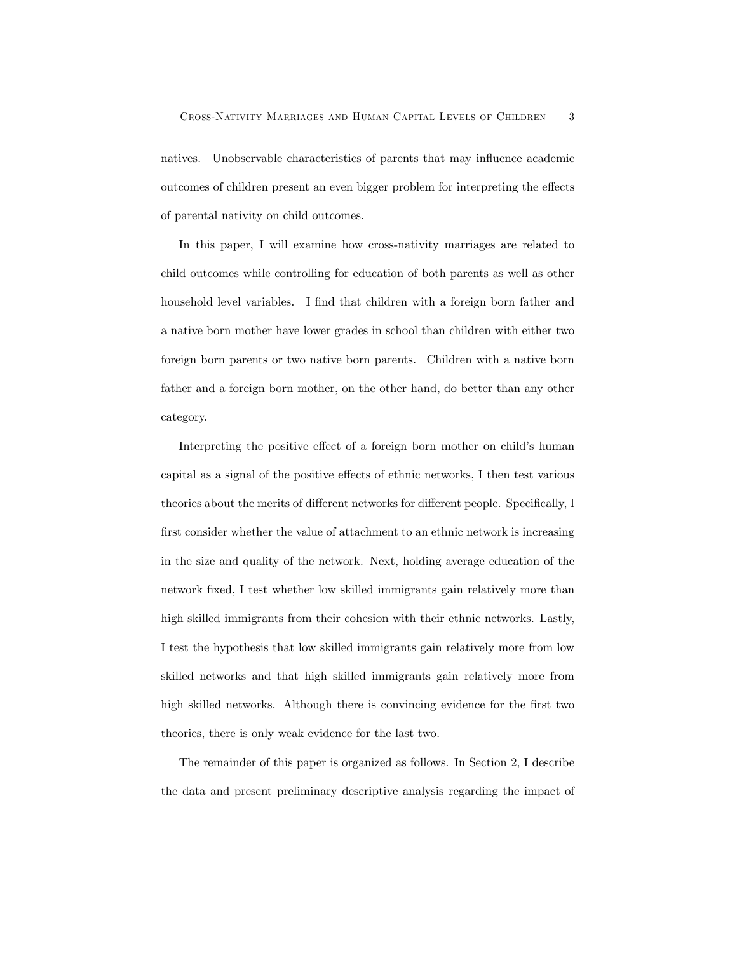natives. Unobservable characteristics of parents that may influence academic outcomes of children present an even bigger problem for interpreting the effects of parental nativity on child outcomes.

In this paper, I will examine how cross-nativity marriages are related to child outcomes while controlling for education of both parents as well as other household level variables. I find that children with a foreign born father and a native born mother have lower grades in school than children with either two foreign born parents or two native born parents. Children with a native born father and a foreign born mother, on the other hand, do better than any other category.

Interpreting the positive effect of a foreign born mother on child's human capital as a signal of the positive effects of ethnic networks, I then test various theories about the merits of different networks for different people. Specifically, I first consider whether the value of attachment to an ethnic network is increasing in the size and quality of the network. Next, holding average education of the network fixed, I test whether low skilled immigrants gain relatively more than high skilled immigrants from their cohesion with their ethnic networks. Lastly, I test the hypothesis that low skilled immigrants gain relatively more from low skilled networks and that high skilled immigrants gain relatively more from high skilled networks. Although there is convincing evidence for the first two theories, there is only weak evidence for the last two.

The remainder of this paper is organized as follows. In Section 2, I describe the data and present preliminary descriptive analysis regarding the impact of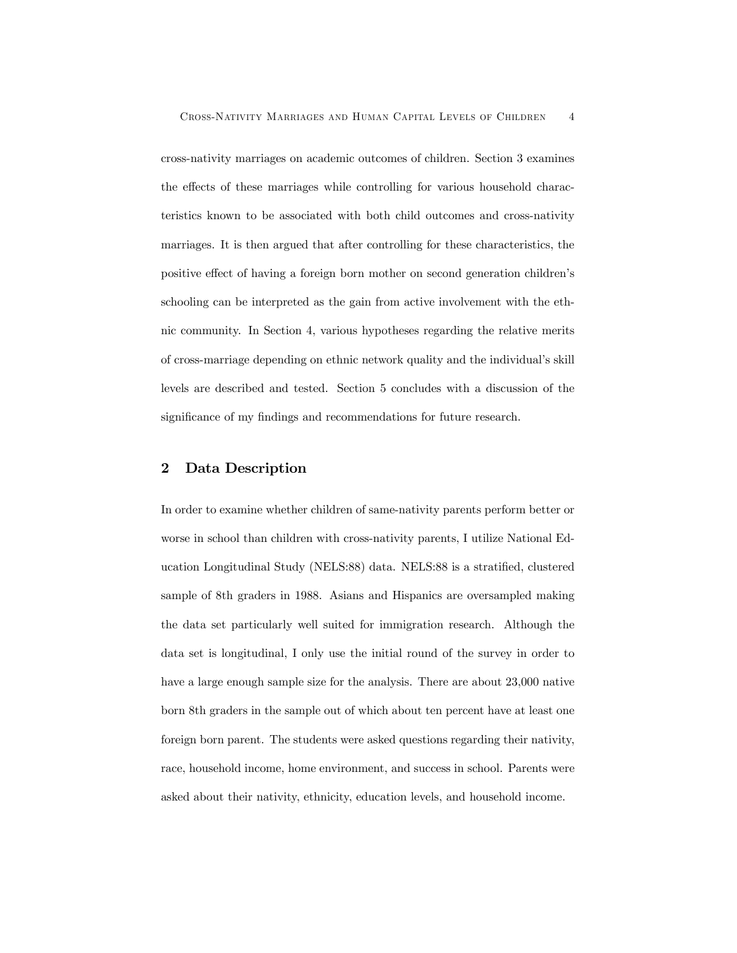cross-nativity marriages on academic outcomes of children. Section 3 examines the effects of these marriages while controlling for various household characteristics known to be associated with both child outcomes and cross-nativity marriages. It is then argued that after controlling for these characteristics, the positive effect of having a foreign born mother on second generation children's schooling can be interpreted as the gain from active involvement with the ethnic community. In Section 4, various hypotheses regarding the relative merits of cross-marriage depending on ethnic network quality and the individual's skill levels are described and tested. Section 5 concludes with a discussion of the significance of my findings and recommendations for future research.

#### 2 Data Description

In order to examine whether children of same-nativity parents perform better or worse in school than children with cross-nativity parents, I utilize National Education Longitudinal Study (NELS:88) data. NELS:88 is a stratified, clustered sample of 8th graders in 1988. Asians and Hispanics are oversampled making the data set particularly well suited for immigration research. Although the data set is longitudinal, I only use the initial round of the survey in order to have a large enough sample size for the analysis. There are about 23,000 native born 8th graders in the sample out of which about ten percent have at least one foreign born parent. The students were asked questions regarding their nativity, race, household income, home environment, and success in school. Parents were asked about their nativity, ethnicity, education levels, and household income.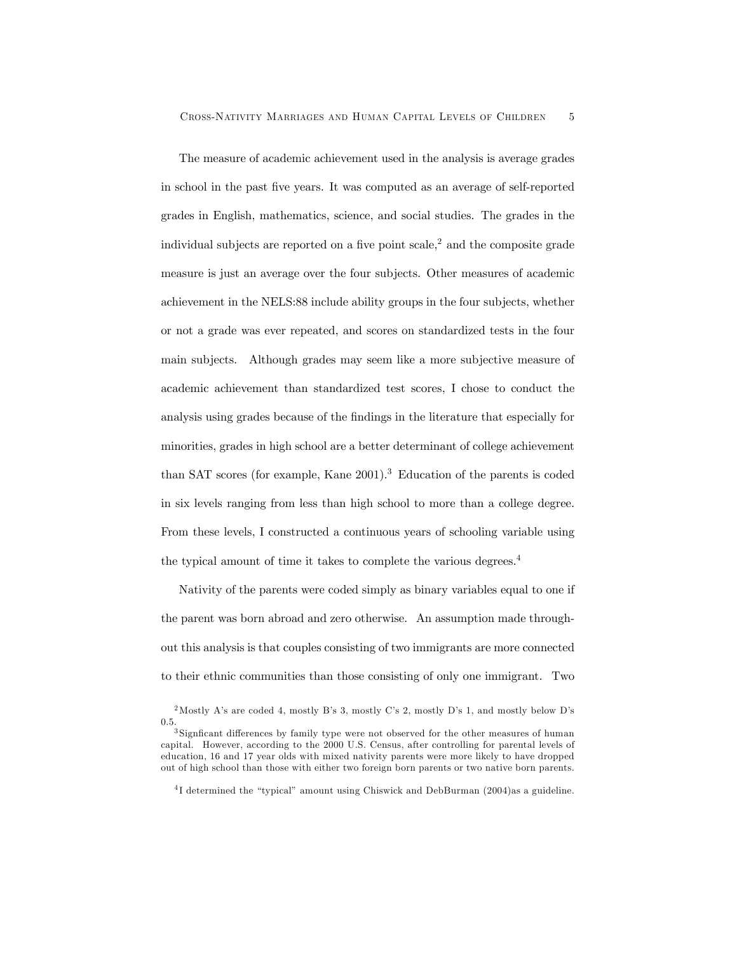The measure of academic achievement used in the analysis is average grades in school in the past five years. It was computed as an average of self-reported grades in English, mathematics, science, and social studies. The grades in the individual subjects are reported on a five point  $scale<sup>2</sup>$  and the composite grade measure is just an average over the four subjects. Other measures of academic achievement in the NELS:88 include ability groups in the four subjects, whether or not a grade was ever repeated, and scores on standardized tests in the four main subjects. Although grades may seem like a more subjective measure of academic achievement than standardized test scores, I chose to conduct the analysis using grades because of the findings in the literature that especially for minorities, grades in high school are a better determinant of college achievement than SAT scores (for example, Kane  $2001$ ).<sup>3</sup> Education of the parents is coded in six levels ranging from less than high school to more than a college degree. From these levels, I constructed a continuous years of schooling variable using the typical amount of time it takes to complete the various degrees.<sup>4</sup>

Nativity of the parents were coded simply as binary variables equal to one if the parent was born abroad and zero otherwise. An assumption made throughout this analysis is that couples consisting of two immigrants are more connected to their ethnic communities than those consisting of only one immigrant. Two

<sup>2</sup>Mostly A's are coded 4, mostly B's 3, mostly C's 2, mostly D's 1, and mostly below D's 0.5.<br> $3$  Signficant differences by family type were not observed for the other measures of human

capital. However, according to the 2000 U.S. Census, after controlling for parental levels of education, 16 and 17 year olds with mixed nativity parents were more likely to have dropped out of high school than those with either two foreign born parents or two native born parents.

<sup>4</sup> I determined the "typical" amount using Chiswick and DebBurman (2004)as a guideline.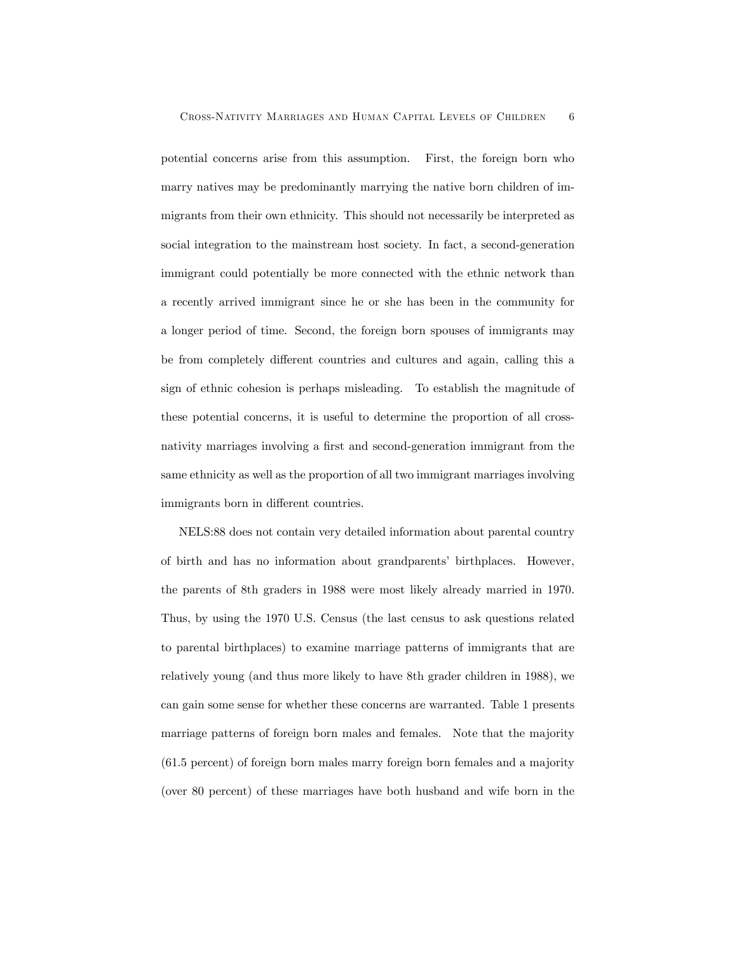potential concerns arise from this assumption. First, the foreign born who marry natives may be predominantly marrying the native born children of immigrants from their own ethnicity. This should not necessarily be interpreted as social integration to the mainstream host society. In fact, a second-generation immigrant could potentially be more connected with the ethnic network than a recently arrived immigrant since he or she has been in the community for a longer period of time. Second, the foreign born spouses of immigrants may be from completely different countries and cultures and again, calling this a sign of ethnic cohesion is perhaps misleading. To establish the magnitude of these potential concerns, it is useful to determine the proportion of all crossnativity marriages involving a first and second-generation immigrant from the same ethnicity as well as the proportion of all two immigrant marriages involving immigrants born in different countries.

NELS:88 does not contain very detailed information about parental country of birth and has no information about grandparents' birthplaces. However, the parents of 8th graders in 1988 were most likely already married in 1970. Thus, by using the 1970 U.S. Census (the last census to ask questions related to parental birthplaces) to examine marriage patterns of immigrants that are relatively young (and thus more likely to have 8th grader children in 1988), we can gain some sense for whether these concerns are warranted. Table 1 presents marriage patterns of foreign born males and females. Note that the majority (61.5 percent) of foreign born males marry foreign born females and a majority (over 80 percent) of these marriages have both husband and wife born in the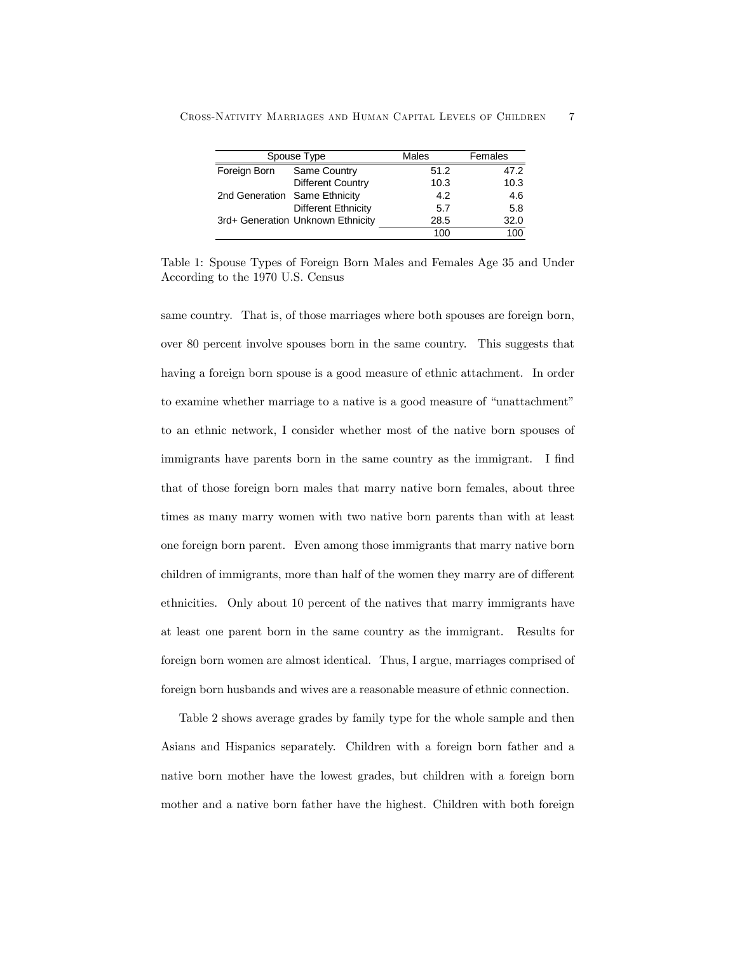|                               | Spouse Type                       | Males | Females |
|-------------------------------|-----------------------------------|-------|---------|
| Foreign Born                  | Same Country                      | 51.2  | 47.2    |
|                               | <b>Different Country</b>          | 10.3  | 10.3    |
| 2nd Generation Same Ethnicity |                                   | 4.2   | 4.6     |
|                               | <b>Different Ethnicity</b>        | 5.7   | 5.8     |
|                               | 3rd+ Generation Unknown Ethnicity | 28.5  | 32.0    |
|                               |                                   | 100   | 100     |

Cross-Nativity Marriages and Human Capital Levels of Children 7

Table 1: Spouse Types of Foreign Born Males and Females Age 35 and Under According to the 1970 U.S. Census

same country. That is, of those marriages where both spouses are foreign born, over 80 percent involve spouses born in the same country. This suggests that having a foreign born spouse is a good measure of ethnic attachment. In order to examine whether marriage to a native is a good measure of "unattachment" to an ethnic network, I consider whether most of the native born spouses of immigrants have parents born in the same country as the immigrant. I find that of those foreign born males that marry native born females, about three times as many marry women with two native born parents than with at least one foreign born parent. Even among those immigrants that marry native born children of immigrants, more than half of the women they marry are of different ethnicities. Only about 10 percent of the natives that marry immigrants have at least one parent born in the same country as the immigrant. Results for foreign born women are almost identical. Thus, I argue, marriages comprised of foreign born husbands and wives are a reasonable measure of ethnic connection.

Table 2 shows average grades by family type for the whole sample and then Asians and Hispanics separately. Children with a foreign born father and a native born mother have the lowest grades, but children with a foreign born mother and a native born father have the highest. Children with both foreign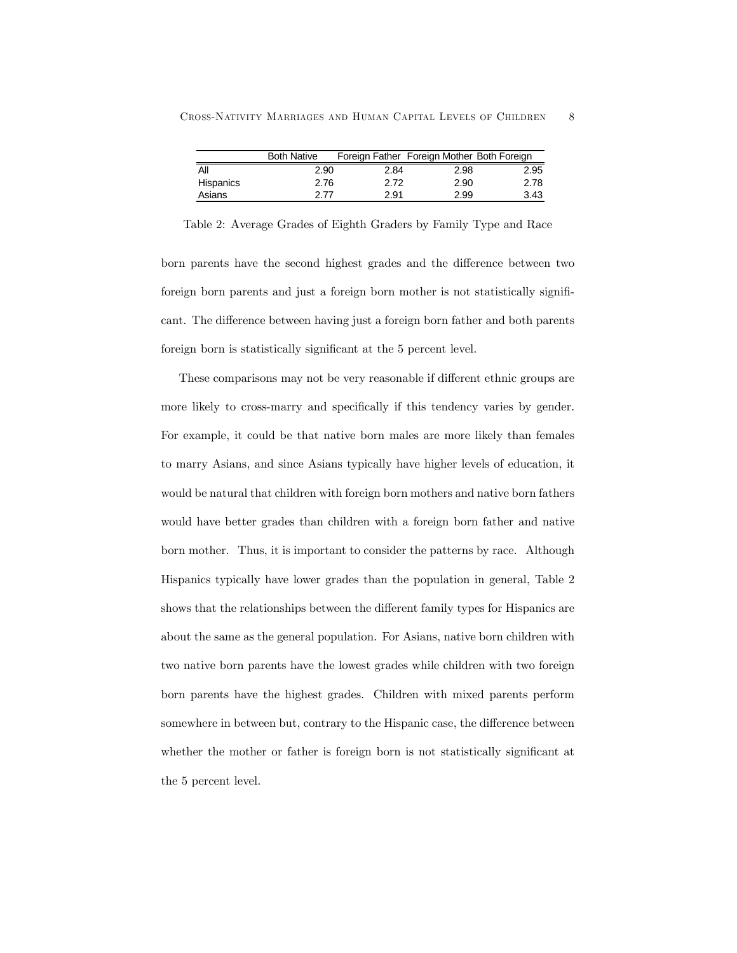|           | <b>Both Native</b> | Foreign Father Foreign Mother Both Foreign |      |      |
|-----------|--------------------|--------------------------------------------|------|------|
| All       | 2.90               | 2.84                                       | 2.98 | 2.95 |
| Hispanics | 2.76               | 2.72                                       | 2.90 | 2.78 |
| Asians    | 2.77               | 2.91                                       | 2.99 | 3.43 |

Table 2: Average Grades of Eighth Graders by Family Type and Race

born parents have the second highest grades and the difference between two foreign born parents and just a foreign born mother is not statistically significant. The difference between having just a foreign born father and both parents foreign born is statistically significant at the 5 percent level.

These comparisons may not be very reasonable if different ethnic groups are more likely to cross-marry and specifically if this tendency varies by gender. For example, it could be that native born males are more likely than females to marry Asians, and since Asians typically have higher levels of education, it would be natural that children with foreign born mothers and native born fathers would have better grades than children with a foreign born father and native born mother. Thus, it is important to consider the patterns by race. Although Hispanics typically have lower grades than the population in general, Table 2 shows that the relationships between the different family types for Hispanics are about the same as the general population. For Asians, native born children with two native born parents have the lowest grades while children with two foreign born parents have the highest grades. Children with mixed parents perform somewhere in between but, contrary to the Hispanic case, the difference between whether the mother or father is foreign born is not statistically significant at the 5 percent level.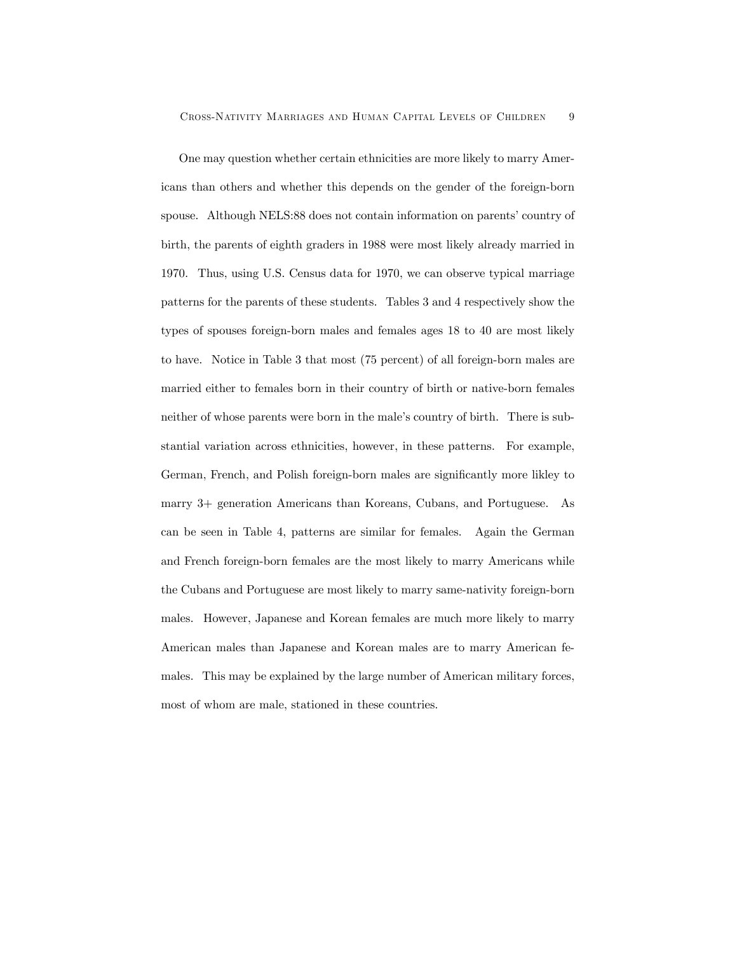One may question whether certain ethnicities are more likely to marry Americans than others and whether this depends on the gender of the foreign-born spouse. Although NELS:88 does not contain information on parents' country of birth, the parents of eighth graders in 1988 were most likely already married in 1970. Thus, using U.S. Census data for 1970, we can observe typical marriage patterns for the parents of these students. Tables 3 and 4 respectively show the types of spouses foreign-born males and females ages 18 to 40 are most likely to have. Notice in Table 3 that most (75 percent) of all foreign-born males are married either to females born in their country of birth or native-born females neither of whose parents were born in the male's country of birth. There is substantial variation across ethnicities, however, in these patterns. For example, German, French, and Polish foreign-born males are significantly more likley to marry 3+ generation Americans than Koreans, Cubans, and Portuguese. As can be seen in Table 4, patterns are similar for females. Again the German and French foreign-born females are the most likely to marry Americans while the Cubans and Portuguese are most likely to marry same-nativity foreign-born males. However, Japanese and Korean females are much more likely to marry American males than Japanese and Korean males are to marry American females. This may be explained by the large number of American military forces, most of whom are male, stationed in these countries.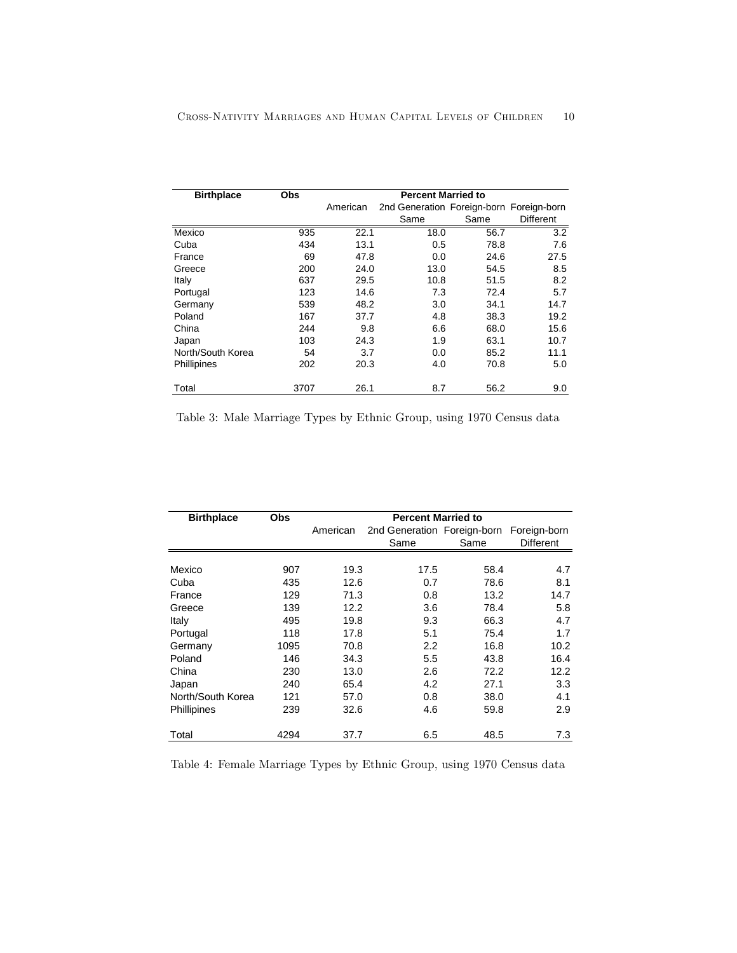| <b>Birthplace</b>  | <b>Obs</b> | <b>Percent Married to</b> |                                          |      |           |  |  |
|--------------------|------------|---------------------------|------------------------------------------|------|-----------|--|--|
|                    |            | American                  | 2nd Generation Foreign-born Foreign-born |      |           |  |  |
|                    |            |                           | Same                                     | Same | Different |  |  |
| Mexico             | 935        | 22.1                      | 18.0                                     | 56.7 | 3.2       |  |  |
| Cuba               | 434        | 13.1                      | 0.5                                      | 78.8 | 7.6       |  |  |
| France             | 69         | 47.8                      | 0.0                                      | 24.6 | 27.5      |  |  |
| Greece             | 200        | 24.0                      | 13.0                                     | 54.5 | 8.5       |  |  |
| Italy              | 637        | 29.5                      | 10.8                                     | 51.5 | 8.2       |  |  |
| Portugal           | 123        | 14.6                      | 7.3                                      | 72.4 | 5.7       |  |  |
| Germany            | 539        | 48.2                      | 3.0                                      | 34.1 | 14.7      |  |  |
| Poland             | 167        | 37.7                      | 4.8                                      | 38.3 | 19.2      |  |  |
| China              | 244        | 9.8                       | 6.6                                      | 68.0 | 15.6      |  |  |
| Japan              | 103        | 24.3                      | 1.9                                      | 63.1 | 10.7      |  |  |
| North/South Korea  | 54         | 3.7                       | 0.0                                      | 85.2 | 11.1      |  |  |
| <b>Phillipines</b> | 202        | 20.3                      | 4.0                                      | 70.8 | 5.0       |  |  |
| Total              | 3707       | 26.1                      | 8.7                                      | 56.2 | 9.0       |  |  |

Table 3: Male Marriage Types by Ethnic Group, using 1970 Census data

| <b>Birthplace</b> | Obs  | <b>Percent Married to</b> |                             |      |                  |  |  |
|-------------------|------|---------------------------|-----------------------------|------|------------------|--|--|
|                   |      | American                  | 2nd Generation Foreign-born |      | Foreign-born     |  |  |
|                   |      |                           | Same                        | Same | <b>Different</b> |  |  |
|                   |      |                           |                             |      |                  |  |  |
| Mexico            | 907  | 19.3                      | 17.5                        | 58.4 | 4.7              |  |  |
| Cuba              | 435  | 12.6                      | 0.7                         | 78.6 | 8.1              |  |  |
| France            | 129  | 71.3                      | 0.8                         | 13.2 | 14.7             |  |  |
| Greece            | 139  | 12.2                      | 3.6                         | 78.4 | 5.8              |  |  |
| Italy             | 495  | 19.8                      | 9.3                         | 66.3 | 4.7              |  |  |
| Portugal          | 118  | 17.8                      | 5.1                         | 75.4 | 1.7              |  |  |
| Germany           | 1095 | 70.8                      | 2.2                         | 16.8 | 10.2             |  |  |
| Poland            | 146  | 34.3                      | 5.5                         | 43.8 | 16.4             |  |  |
| China             | 230  | 13.0                      | 2.6                         | 72.2 | 12.2             |  |  |
| Japan             | 240  | 65.4                      | 4.2                         | 27.1 | 3.3              |  |  |
| North/South Korea | 121  | 57.0                      | 0.8                         | 38.0 | 4.1              |  |  |
| Phillipines       | 239  | 32.6                      | 4.6                         | 59.8 | 2.9              |  |  |
| Total             | 4294 | 37.7                      | 6.5                         | 48.5 | 7.3              |  |  |

Table 4: Female Marriage Types by Ethnic Group, using 1970 Census data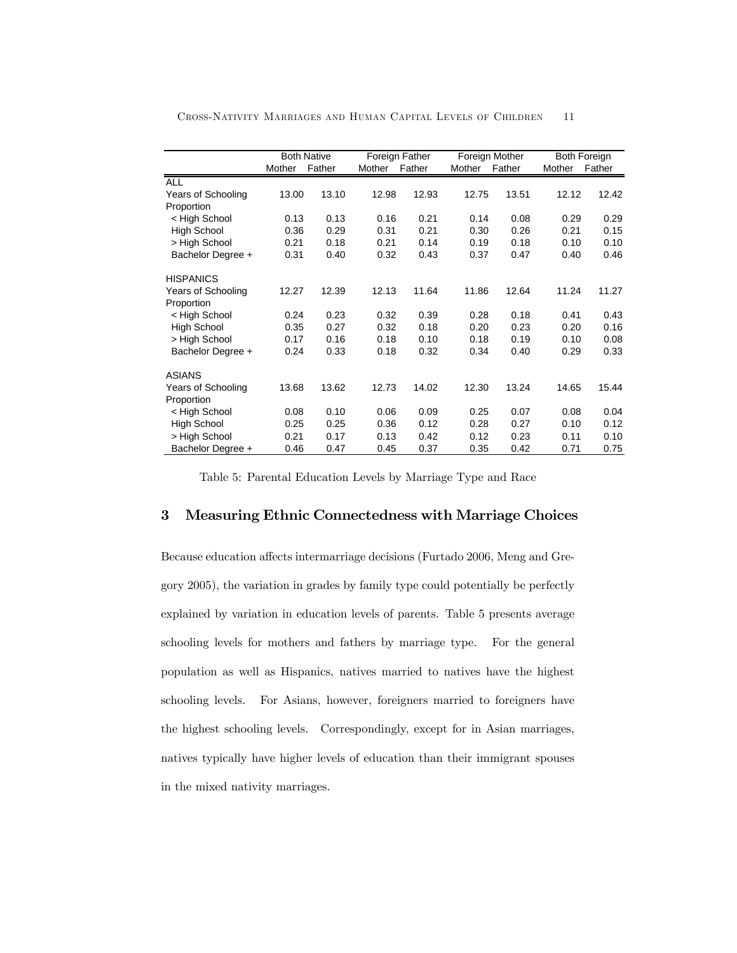|                    | <b>Both Native</b> |        | Foreign Father |        | Foreign Mother |        | <b>Both Foreign</b> |        |
|--------------------|--------------------|--------|----------------|--------|----------------|--------|---------------------|--------|
|                    | Mother             | Father | Mother         | Father | Mother         | Father | Mother              | Father |
| <b>ALL</b>         |                    |        |                |        |                |        |                     |        |
| Years of Schooling | 13.00              | 13.10  | 12.98          | 12.93  | 12.75          | 13.51  | 12.12               | 12.42  |
| Proportion         |                    |        |                |        |                |        |                     |        |
| < High School      | 0.13               | 0.13   | 0.16           | 0.21   | 0.14           | 0.08   | 0.29                | 0.29   |
| High School        | 0.36               | 0.29   | 0.31           | 0.21   | 0.30           | 0.26   | 0.21                | 0.15   |
| > High School      | 0.21               | 0.18   | 0.21           | 0.14   | 0.19           | 0.18   | 0.10                | 0.10   |
| Bachelor Degree +  | 0.31               | 0.40   | 0.32           | 0.43   | 0.37           | 0.47   | 0.40                | 0.46   |
| <b>HISPANICS</b>   |                    |        |                |        |                |        |                     |        |
| Years of Schooling | 12.27              | 12.39  | 12.13          | 11.64  | 11.86          | 12.64  | 11.24               | 11.27  |
| Proportion         |                    |        |                |        |                |        |                     |        |
| < High School      | 0.24               | 0.23   | 0.32           | 0.39   | 0.28           | 0.18   | 0.41                | 0.43   |
| <b>High School</b> | 0.35               | 0.27   | 0.32           | 0.18   | 0.20           | 0.23   | 0.20                | 0.16   |
| > High School      | 0.17               | 0.16   | 0.18           | 0.10   | 0.18           | 0.19   | 0.10                | 0.08   |
| Bachelor Degree +  | 0.24               | 0.33   | 0.18           | 0.32   | 0.34           | 0.40   | 0.29                | 0.33   |
| <b>ASIANS</b>      |                    |        |                |        |                |        |                     |        |
| Years of Schooling | 13.68              | 13.62  | 12.73          | 14.02  | 12.30          | 13.24  | 14.65               | 15.44  |
| Proportion         |                    |        |                |        |                |        |                     |        |
| < High School      | 0.08               | 0.10   | 0.06           | 0.09   | 0.25           | 0.07   | 0.08                | 0.04   |
| High School        | 0.25               | 0.25   | 0.36           | 0.12   | 0.28           | 0.27   | 0.10                | 0.12   |
| > High School      | 0.21               | 0.17   | 0.13           | 0.42   | 0.12           | 0.23   | 0.11                | 0.10   |
| Bachelor Degree +  | 0.46               | 0.47   | 0.45           | 0.37   | 0.35           | 0.42   | 0.71                | 0.75   |

Cross-Nativity Marriages and Human Capital Levels of Children 11

Table 5: Parental Education Levels by Marriage Type and Race

#### 3 Measuring Ethnic Connectedness with Marriage Choices

Because education affects intermarriage decisions (Furtado 2006, Meng and Gregory 2005), the variation in grades by family type could potentially be perfectly explained by variation in education levels of parents. Table 5 presents average schooling levels for mothers and fathers by marriage type. For the general population as well as Hispanics, natives married to natives have the highest schooling levels. For Asians, however, foreigners married to foreigners have the highest schooling levels. Correspondingly, except for in Asian marriages, natives typically have higher levels of education than their immigrant spouses in the mixed nativity marriages.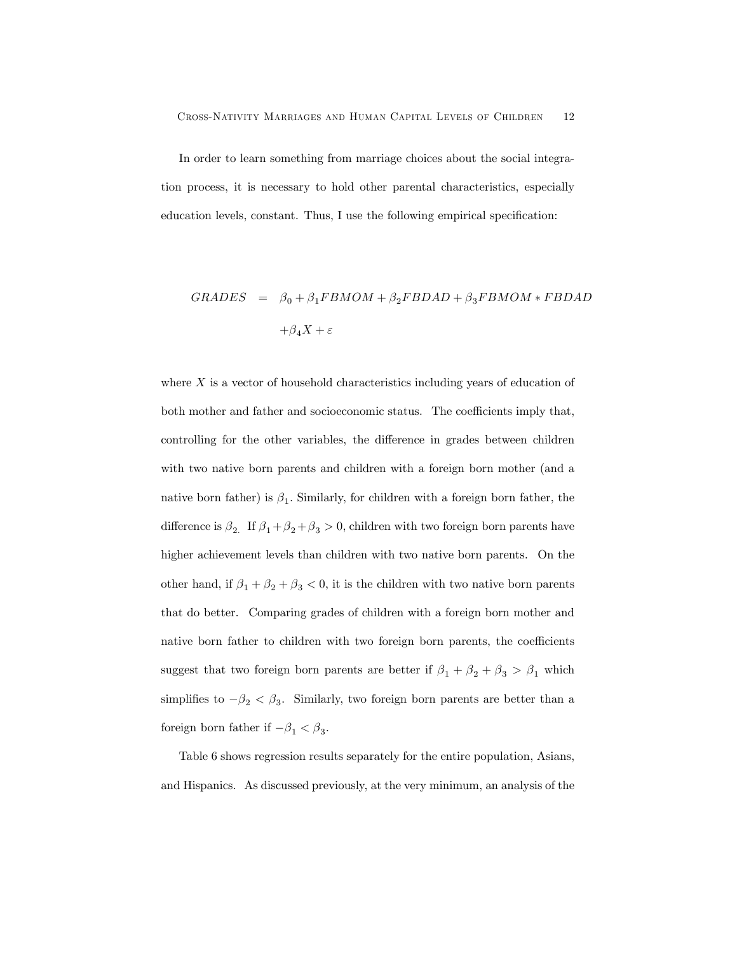In order to learn something from marriage choices about the social integration process, it is necessary to hold other parental characteristics, especially education levels, constant. Thus, I use the following empirical specification:

$$
GRADES = \beta_0 + \beta_1 FBMOM + \beta_2 FBDAD + \beta_3 FBMOM * FBDAD
$$
  
+ $\beta_4 X + \varepsilon$ 

where  $X$  is a vector of household characteristics including years of education of both mother and father and socioeconomic status. The coefficients imply that, controlling for the other variables, the difference in grades between children with two native born parents and children with a foreign born mother (and a native born father) is  $\beta_1$ . Similarly, for children with a foreign born father, the difference is  $\beta_2$  . If  $\beta_1+\beta_2+\beta_3>0,$  children with two foreign born parents have higher achievement levels than children with two native born parents. On the other hand, if  $\beta_1+\beta_2+\beta_3<0,$  it is the children with two native born parents that do better. Comparing grades of children with a foreign born mother and native born father to children with two foreign born parents, the coefficients suggest that two foreign born parents are better if  $\beta_1+\beta_2+\beta_3>\beta_1$  which simplifies to  $-\beta_2 < \beta_3$ . Similarly, two foreign born parents are better than a foreign born father if  $-\beta_1<\beta_3.$ 

Table 6 shows regression results separately for the entire population, Asians, and Hispanics. As discussed previously, at the very minimum, an analysis of the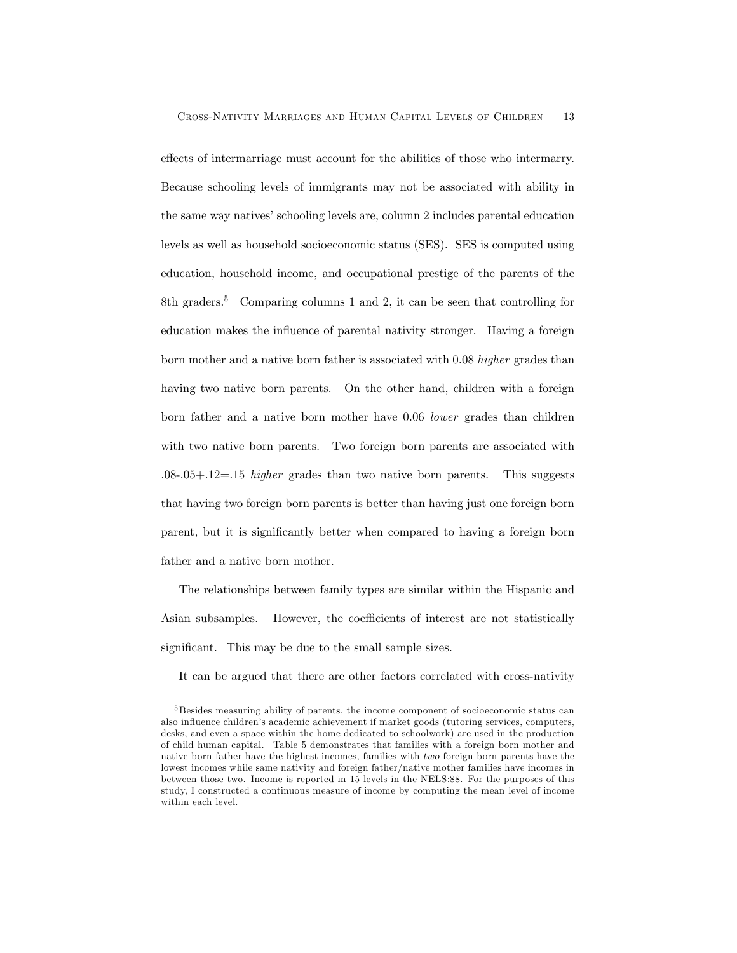effects of intermarriage must account for the abilities of those who intermarry. Because schooling levels of immigrants may not be associated with ability in the same way natives' schooling levels are, column 2 includes parental education levels as well as household socioeconomic status (SES). SES is computed using education, household income, and occupational prestige of the parents of the 8th graders.5 Comparing columns 1 and 2, it can be seen that controlling for education makes the influence of parental nativity stronger. Having a foreign born mother and a native born father is associated with 0.08 higher grades than having two native born parents. On the other hand, children with a foreign born father and a native born mother have 0.06 lower grades than children with two native born parents. Two foreign born parents are associated with  $.08-05+.12=.15$  *higher* grades than two native born parents. This suggests that having two foreign born parents is better than having just one foreign born parent, but it is significantly better when compared to having a foreign born father and a native born mother.

The relationships between family types are similar within the Hispanic and Asian subsamples. However, the coefficients of interest are not statistically significant. This may be due to the small sample sizes.

It can be argued that there are other factors correlated with cross-nativity

<sup>5</sup> Besides measuring ability of parents, the income component of socioeconomic status can also influence children's academic achievement if market goods (tutoring services, computers, desks, and even a space within the home dedicated to schoolwork) are used in the production of child human capital. Table 5 demonstrates that families with a foreign born mother and native born father have the highest incomes, families with two foreign born parents have the lowest incomes while same nativity and foreign father/native mother families have incomes in between those two. Income is reported in 15 levels in the NELS:88. For the purposes of this study, I constructed a continuous measure of income by computing the mean level of income within each level.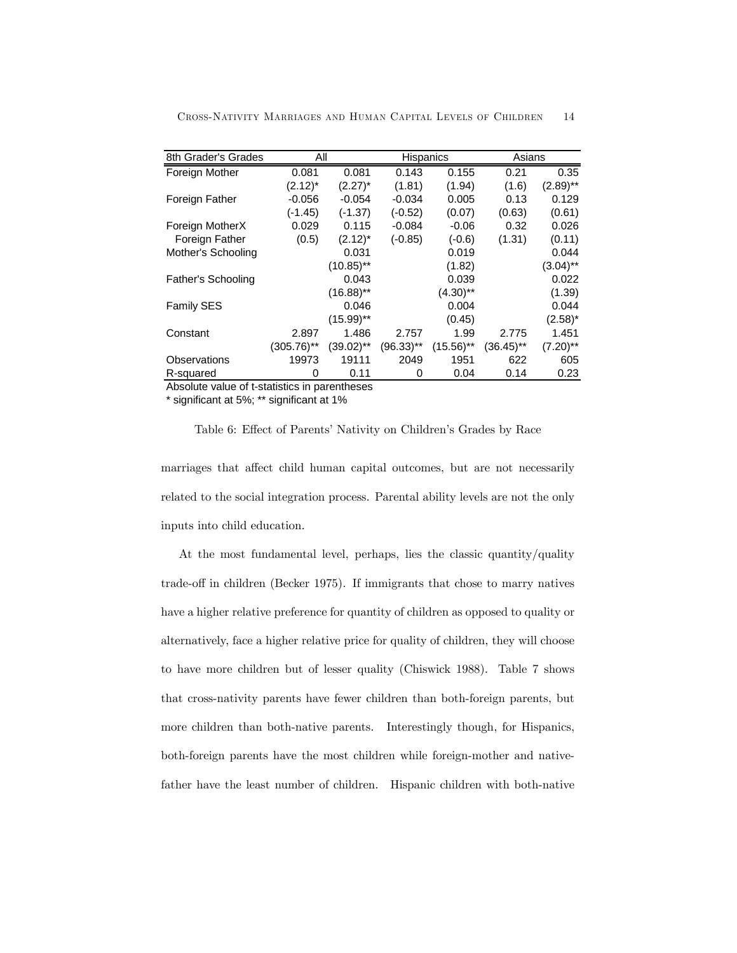| 8th Grader's Grades       | All           |              | <b>Hispanics</b> |              | Asians    |             |  |
|---------------------------|---------------|--------------|------------------|--------------|-----------|-------------|--|
| Foreign Mother            | 0.081         | 0.081        | 0.143            | 0.155        | 0.21      | 0.35        |  |
|                           | $(2.12)^*$    | $(2.27)^*$   | (1.81)           | (1.94)       | (1.6)     | $(2.89)$ ** |  |
| Foreign Father            | $-0.056$      | $-0.054$     | $-0.034$         | 0.005        | 0.13      | 0.129       |  |
|                           | (-1.45)       | $(-1.37)$    | $(-0.52)$        | (0.07)       | (0.63)    | (0.61)      |  |
| Foreign MotherX           | 0.029         | 0.115        | $-0.084$         | $-0.06$      | 0.32      | 0.026       |  |
| Foreign Father            | (0.5)         | $(2.12)^*$   | $(-0.85)$        | $(-0.6)$     | (1.31)    | (0.11)      |  |
| Mother's Schooling        |               | 0.031        |                  | 0.019        |           | 0.044       |  |
|                           |               | $(10.85)$ ** |                  | (1.82)       |           | $(3.04)$ ** |  |
| <b>Father's Schooling</b> |               | 0.043        |                  | 0.039        |           | 0.022       |  |
|                           |               | $(16.88)$ ** |                  | $(4.30)$ **  |           | (1.39)      |  |
| <b>Family SES</b>         |               | 0.046        |                  | 0.004        |           | 0.044       |  |
|                           |               | $(15.99)$ ** |                  | (0.45)       |           | $(2.58)^*$  |  |
| Constant                  | 2.897         | 1.486        | 2.757            | 1.99         | 2.775     | 1.451       |  |
|                           | $(305.76)$ ** | (39.02)**    | $(96.33)$ **     | $(15.56)$ ** | (36.45)** | $(7.20)$ ** |  |
| Observations              | 19973         | 19111        | 2049             | 1951         | 622       | 605         |  |
| R-squared                 | 0             | 0.11         | 0                | 0.04         | 0.14      | 0.23        |  |

Cross-Nativity Marriages and Human Capital Levels of Children 14

| R-squared                                                                           | 0.11 | 0.04 | 0.14 | 0.23 |
|-------------------------------------------------------------------------------------|------|------|------|------|
| Absolute value of t-statistics in parentheses                                       |      |      |      |      |
| * significant at 5%; ** significant at 1%                                           |      |      |      |      |
| Table 6: Effect of Parents' Nativity on Children's Grades by Race                   |      |      |      |      |
| marriages that affect child human capital outcomes, but are not necessarily         |      |      |      |      |
| related to the social integration process. Parental ability levels are not the only |      |      |      |      |
| inputs into child education.                                                        |      |      |      |      |

At the most fundamental level, perhaps, lies the classic quantity/quality trade-off in children (Becker 1975). If immigrants that chose to marry natives have a higher relative preference for quantity of children as opposed to quality or alternatively, face a higher relative price for quality of children, they will choose to have more children but of lesser quality (Chiswick 1988). Table 7 shows that cross-nativity parents have fewer children than both-foreign parents, but more children than both-native parents. Interestingly though, for Hispanics, both-foreign parents have the most children while foreign-mother and nativefather have the least number of children. Hispanic children with both-native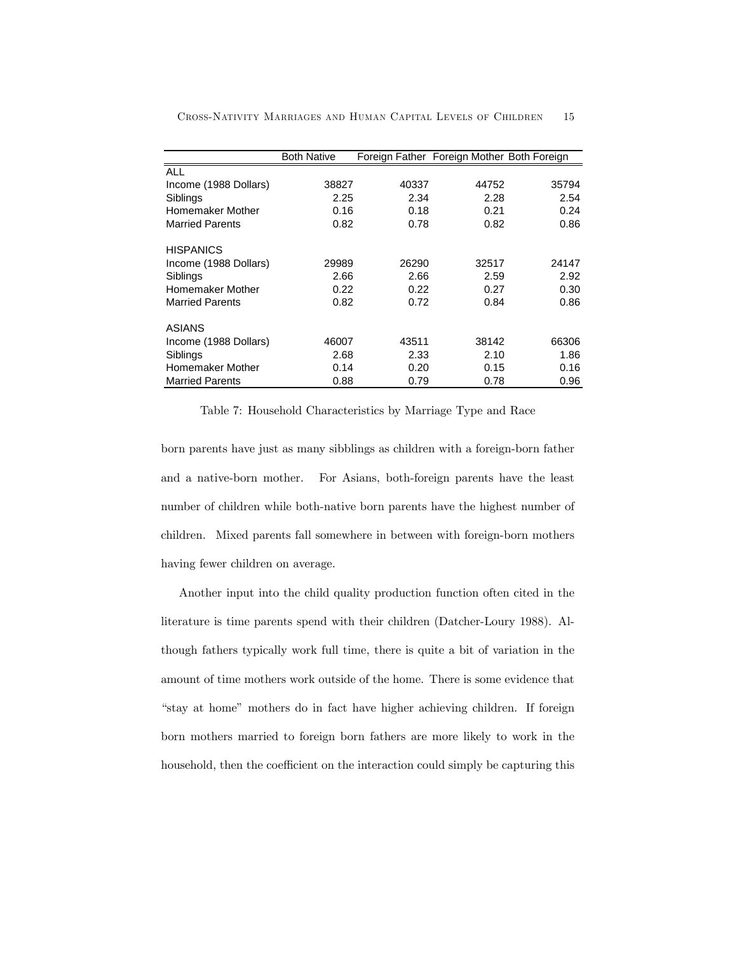|                        | <b>Both Native</b> |       | Foreign Father Foreign Mother Both Foreign |       |
|------------------------|--------------------|-------|--------------------------------------------|-------|
| <b>ALL</b>             |                    |       |                                            |       |
| Income (1988 Dollars)  | 38827              | 40337 | 44752                                      | 35794 |
| Siblings               | 2.25               | 2.34  | 2.28                                       | 2.54  |
| Homemaker Mother       | 0.16               | 0.18  | 0.21                                       | 0.24  |
| <b>Married Parents</b> | 0.82               | 0.78  | 0.82                                       | 0.86  |
| <b>HISPANICS</b>       |                    |       |                                            |       |
| Income (1988 Dollars)  | 29989              | 26290 | 32517                                      | 24147 |
| Siblings               | 2.66               | 2.66  | 2.59                                       | 2.92  |
| Homemaker Mother       | 0.22               | 0.22  | 0.27                                       | 0.30  |
| <b>Married Parents</b> | 0.82               | 0.72  | 0.84                                       | 0.86  |
| ASIANS                 |                    |       |                                            |       |
| Income (1988 Dollars)  | 46007              | 43511 | 38142                                      | 66306 |
| Siblings               | 2.68               | 2.33  | 2.10                                       | 1.86  |
| Homemaker Mother       | 0.14               | 0.20  | 0.15                                       | 0.16  |
| <b>Married Parents</b> | 0.88               | 0.79  | 0.78                                       | 0.96  |

Cross-Nativity Marriages and Human Capital Levels of Children 15

Table 7: Household Characteristics by Marriage Type and Race

born parents have just as many sibblings as children with a foreign-born father and a native-born mother. For Asians, both-foreign parents have the least number of children while both-native born parents have the highest number of children. Mixed parents fall somewhere in between with foreign-born mothers having fewer children on average.

Another input into the child quality production function often cited in the literature is time parents spend with their children (Datcher-Loury 1988). Although fathers typically work full time, there is quite a bit of variation in the amount of time mothers work outside of the home. There is some evidence that "stay at home" mothers do in fact have higher achieving children. If foreign born mothers married to foreign born fathers are more likely to work in the household, then the coefficient on the interaction could simply be capturing this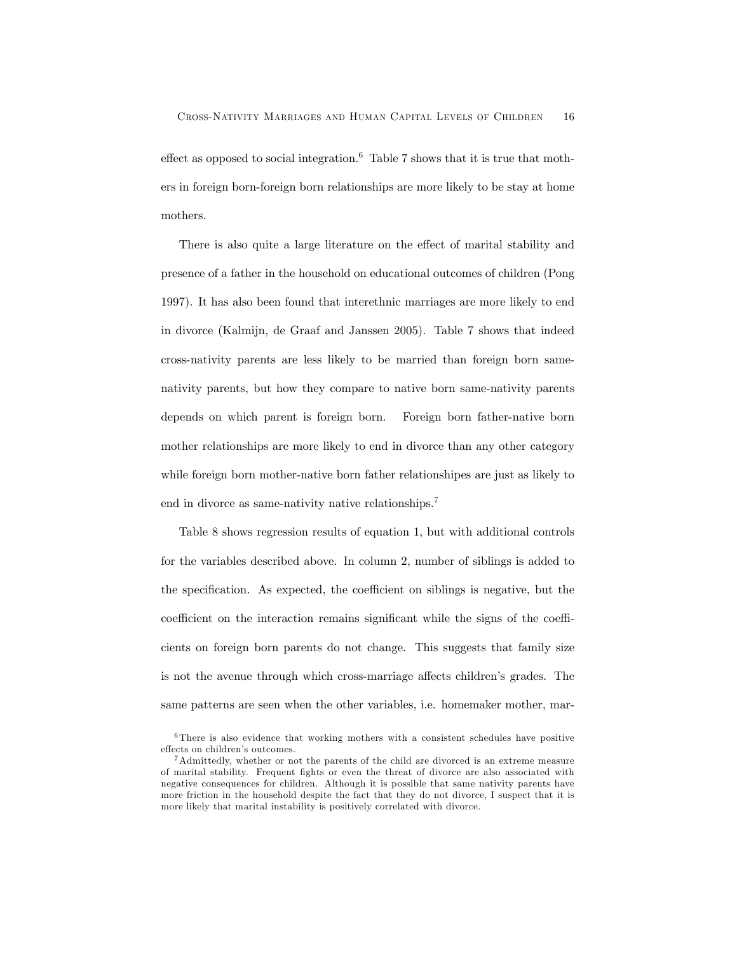effect as opposed to social integration.<sup>6</sup> Table 7 shows that it is true that mothers in foreign born-foreign born relationships are more likely to be stay at home mothers.

There is also quite a large literature on the effect of marital stability and presence of a father in the household on educational outcomes of children (Pong 1997). It has also been found that interethnic marriages are more likely to end in divorce (Kalmijn, de Graaf and Janssen 2005). Table 7 shows that indeed cross-nativity parents are less likely to be married than foreign born samenativity parents, but how they compare to native born same-nativity parents depends on which parent is foreign born. Foreign born father-native born mother relationships are more likely to end in divorce than any other category while foreign born mother-native born father relationshipes are just as likely to end in divorce as same-nativity native relationships.7

Table 8 shows regression results of equation 1, but with additional controls for the variables described above. In column 2, number of siblings is added to the specification. As expected, the coefficient on siblings is negative, but the coefficient on the interaction remains significant while the signs of the coefficients on foreign born parents do not change. This suggests that family size is not the avenue through which cross-marriage affects children's grades. The same patterns are seen when the other variables, i.e. homemaker mother, mar-

 $6$ There is also evidence that working mothers with a consistent schedules have positive effects on children's outcomes.

<sup>7</sup>Admittedly, whether or not the parents of the child are divorced is an extreme measure of marital stability. Frequent fights or even the threat of divorce are also associated with negative consequences for children. Although it is possible that same nativity parents have more friction in the household despite the fact that they do not divorce, I suspect that it is more likely that marital instability is positively correlated with divorce.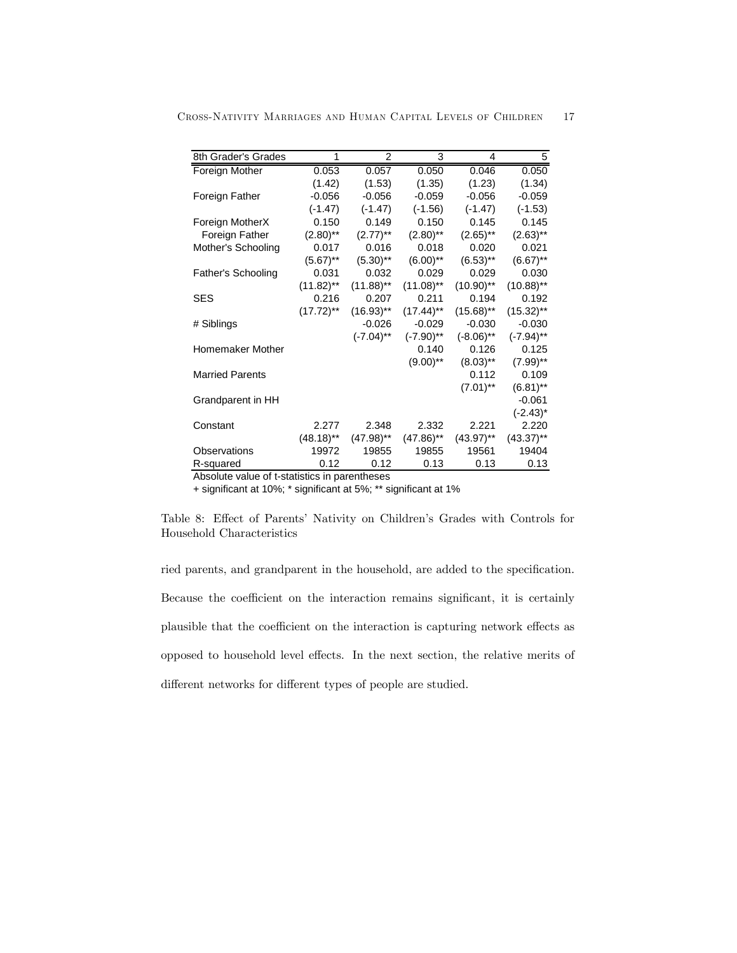| 8th Grader's Grades       | 1                       | $\overline{2}$ | 3                       | 4            | 5            |
|---------------------------|-------------------------|----------------|-------------------------|--------------|--------------|
| Foreign Mother            | 0.053                   | 0.057          | 0.050                   | 0.046        | 0.050        |
|                           | (1.42)                  | (1.53)         | (1.35)                  | (1.23)       | (1.34)       |
| Foreign Father            | $-0.056$                | $-0.056$       | $-0.059$                | $-0.056$     | $-0.059$     |
|                           | $(-1.47)$               | $(-1.47)$      | $(-1.56)$               | $(-1.47)$    | $(-1.53)$    |
| Foreign MotherX           | 0.150                   | 0.149          | 0.150                   | 0.145        | 0.145        |
| Foreign Father            | $(2.80)$ **             | $(2.77)$ **    | $(2.80)$ **             | $(2.65)$ **  | $(2.63)$ **  |
| Mother's Schooling        | 0.017                   | 0.016          | 0.018                   | 0.020        | 0.021        |
|                           | $(5.67)$ **             | $(5.30)$ **    | $(6.00)$ **             | $(6.53)$ **  | $(6.67)$ **  |
| <b>Father's Schooling</b> | 0.031                   | 0.032          | 0.029                   | 0.029        | 0.030        |
|                           | $(11.82)$ **            | $(11.88)$ **   | $(11.08)$ **            | $(10.90)$ ** | $(10.88)$ ** |
| <b>SES</b>                | 0.216                   | 0.207          | 0.211                   | 0.194        | 0.192        |
|                           | $(17.72)$ **            | $(16.93)$ **   | $(17.44)$ <sup>**</sup> | $(15.68)$ ** | $(15.32)$ ** |
| # Siblings                |                         | $-0.026$       | $-0.029$                | $-0.030$     | $-0.030$     |
|                           |                         | $(-7.04)$ **   | $(-7.90)$ **            | $(-8.06)$ ** | $(-7.94)$ ** |
| Homemaker Mother          |                         |                | 0.140                   | 0.126        | 0.125        |
|                           |                         |                | $(9.00)$ **             | $(8.03)$ **  | $(7.99)$ **  |
| <b>Married Parents</b>    |                         |                |                         | 0.112        | 0.109        |
|                           |                         |                |                         | $(7.01)$ **  | $(6.81)$ **  |
| Grandparent in HH         |                         |                |                         |              | $-0.061$     |
|                           |                         |                |                         |              | $(-2.43)^*$  |
| Constant                  | 2.277                   | 2.348          | 2.332                   | 2.221        | 2.220        |
|                           | $(48.18)$ <sup>**</sup> | $(47.98)$ **   | $(47.86)$ **            | $(43.97)$ ** | $(43.37)$ ** |
| Observations              | 19972                   | 19855          | 19855                   | 19561        | 19404        |
| R-squared                 | 0.12                    | 0.12           | 0.13                    | 0.13         | 0.13         |

Cross-Nativity Marriages and Human Capital Levels of Children 17

Absolute value of t-statistics in parentheses

+ significant at 10%; \* significant at 5%; \*\* significant at 1%

Table 8: Effect of Parents' Nativity on Children's Grades with Controls for Household Characteristics

ried parents, and grandparent in the household, are added to the specification. Because the coefficient on the interaction remains significant, it is certainly plausible that the coefficient on the interaction is capturing network effects as opposed to household level effects. In the next section, the relative merits of different networks for different types of people are studied.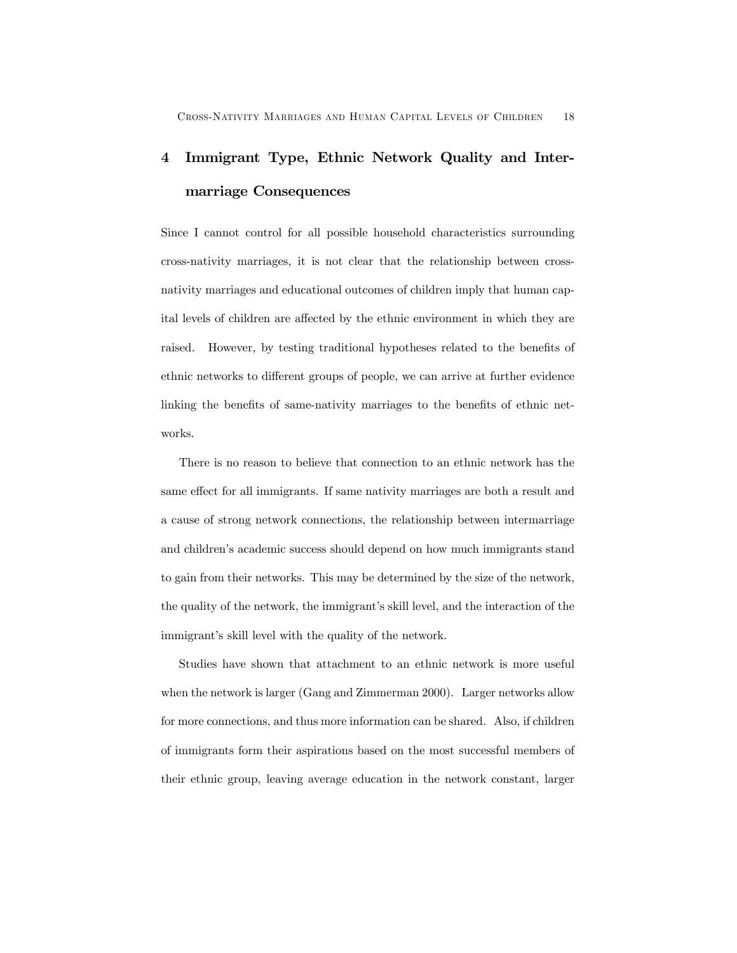# 4 Immigrant Type, Ethnic Network Quality and Intermarriage Consequences

Since I cannot control for all possible household characteristics surrounding cross-nativity marriages, it is not clear that the relationship between crossnativity marriages and educational outcomes of children imply that human capital levels of children are affected by the ethnic environment in which they are raised. However, by testing traditional hypotheses related to the benefits of ethnic networks to different groups of people, we can arrive at further evidence linking the benefits of same-nativity marriages to the benefits of ethnic networks.

There is no reason to believe that connection to an ethnic network has the same effect for all immigrants. If same nativity marriages are both a result and a cause of strong network connections, the relationship between intermarriage and children's academic success should depend on how much immigrants stand to gain from their networks. This may be determined by the size of the network, the quality of the network, the immigrant's skill level, and the interaction of the immigrant's skill level with the quality of the network.

Studies have shown that attachment to an ethnic network is more useful when the network is larger (Gang and Zimmerman 2000). Larger networks allow for more connections, and thus more information can be shared. Also, if children of immigrants form their aspirations based on the most successful members of their ethnic group, leaving average education in the network constant, larger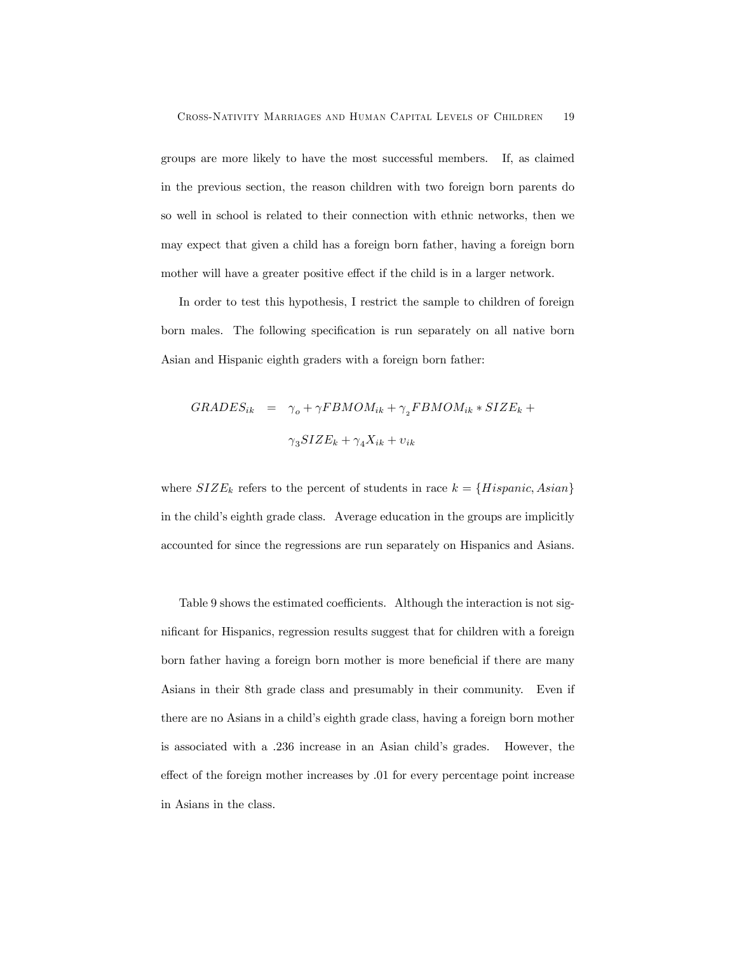groups are more likely to have the most successful members. If, as claimed in the previous section, the reason children with two foreign born parents do so well in school is related to their connection with ethnic networks, then we may expect that given a child has a foreign born father, having a foreign born mother will have a greater positive effect if the child is in a larger network.

In order to test this hypothesis, I restrict the sample to children of foreign born males. The following specification is run separately on all native born Asian and Hispanic eighth graders with a foreign born father:

$$
GRADES_{ik} = \gamma_o + \gamma FBMOM_{ik} + \gamma_2 FBMOM_{ik} * SIZE_k +
$$
  

$$
\gamma_3 SIZE_k + \gamma_4 X_{ik} + v_{ik}
$$

where  $SIZE_k$  refers to the percent of students in race  $k = \{Hispanic, Asian\}$ in the child's eighth grade class. Average education in the groups are implicitly accounted for since the regressions are run separately on Hispanics and Asians.

Table 9 shows the estimated coefficients. Although the interaction is not significant for Hispanics, regression results suggest that for children with a foreign born father having a foreign born mother is more beneficial if there are many Asians in their 8th grade class and presumably in their community. Even if there are no Asians in a child's eighth grade class, having a foreign born mother is associated with a .236 increase in an Asian child's grades. However, the effect of the foreign mother increases by .01 for every percentage point increase in Asians in the class.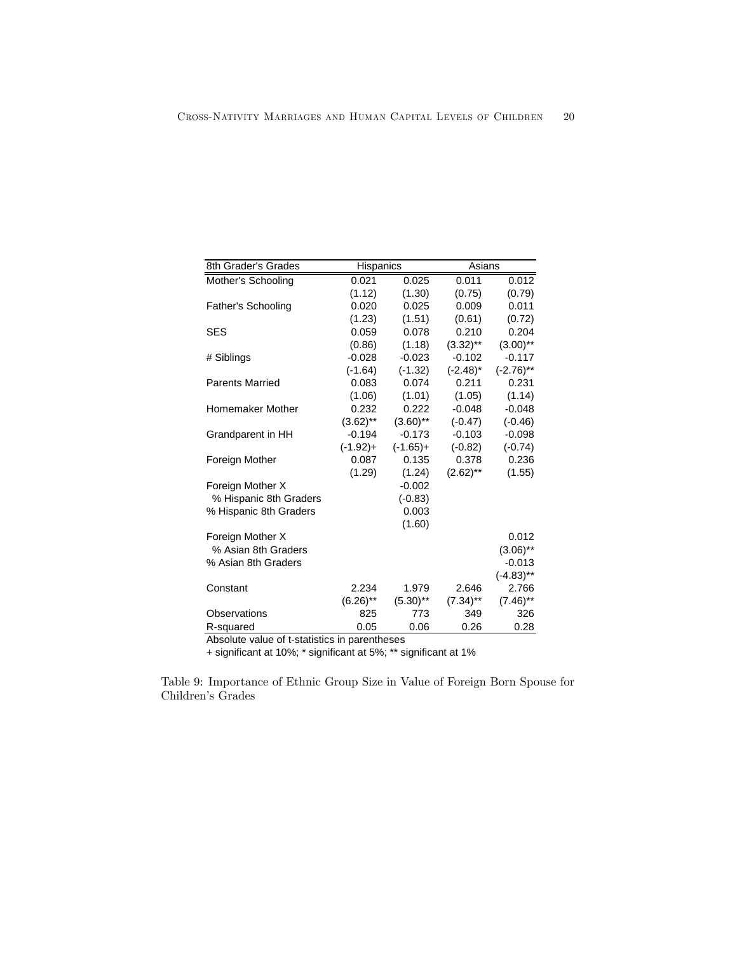| 8th Grader's Grades    | <b>Hispanics</b> |             | Asians      |              |  |
|------------------------|------------------|-------------|-------------|--------------|--|
| Mother's Schooling     | 0.021            | 0.025       | 0.011       | 0.012        |  |
|                        | (1.12)           | (1.30)      | (0.75)      | (0.79)       |  |
| Father's Schooling     | 0.020            | 0.025       | 0.009       | 0.011        |  |
|                        | (1.23)           | (1.51)      | (0.61)      | (0.72)       |  |
| SES                    | 0.059            | 0.078       | 0.210       | 0.204        |  |
|                        | (0.86)           | (1.18)      | $(3.32)$ ** | $(3.00)$ **  |  |
| # Siblings             | $-0.028$         | $-0.023$    | $-0.102$    | $-0.117$     |  |
|                        | $(-1.64)$        | $(-1.32)$   | $(-2.48)^*$ | $(-2.76)$ ** |  |
| <b>Parents Married</b> | 0.083            | 0.074       | 0.211       | 0.231        |  |
|                        | (1.06)           | (1.01)      | (1.05)      | (1.14)       |  |
| Homemaker Mother       | 0.232            | 0.222       | $-0.048$    | $-0.048$     |  |
|                        | $(3.62)$ **      | $(3.60)$ ** | $(-0.47)$   | $(-0.46)$    |  |
| Grandparent in HH      | $-0.194$         | $-0.173$    | $-0.103$    | $-0.098$     |  |
|                        | $(-1.92)+$       | $(-1.65)+$  | $(-0.82)$   | $(-0.74)$    |  |
| Foreign Mother         | 0.087            | 0.135       | 0.378       | 0.236        |  |
|                        | (1.29)           | (1.24)      | $(2.62)$ ** | (1.55)       |  |
| Foreign Mother X       |                  | $-0.002$    |             |              |  |
| % Hispanic 8th Graders |                  | $(-0.83)$   |             |              |  |
| % Hispanic 8th Graders |                  | 0.003       |             |              |  |
|                        |                  | (1.60)      |             |              |  |
| Foreign Mother X       |                  |             |             | 0.012        |  |
| % Asian 8th Graders    |                  |             |             | $(3.06)$ **  |  |
| % Asian 8th Graders    |                  |             |             | $-0.013$     |  |
|                        |                  |             |             | $(-4.83)$ ** |  |
| Constant               | 2.234            | 1.979       | 2.646       | 2.766        |  |
|                        | $(6.26)$ **      | $(5.30)$ ** | $(7.34)$ ** | $(7.46)$ **  |  |
| Observations           | 825              | 773         | 349         | 326          |  |
| R-squared              | 0.05             | 0.06        | 0.26        | 0.28         |  |

Absolute value of t-statistics in parentheses

+ significant at 10%; \* significant at 5%; \*\* significant at 1%

Table 9: Importance of Ethnic Group Size in Value of Foreign Born Spouse for Children's Grades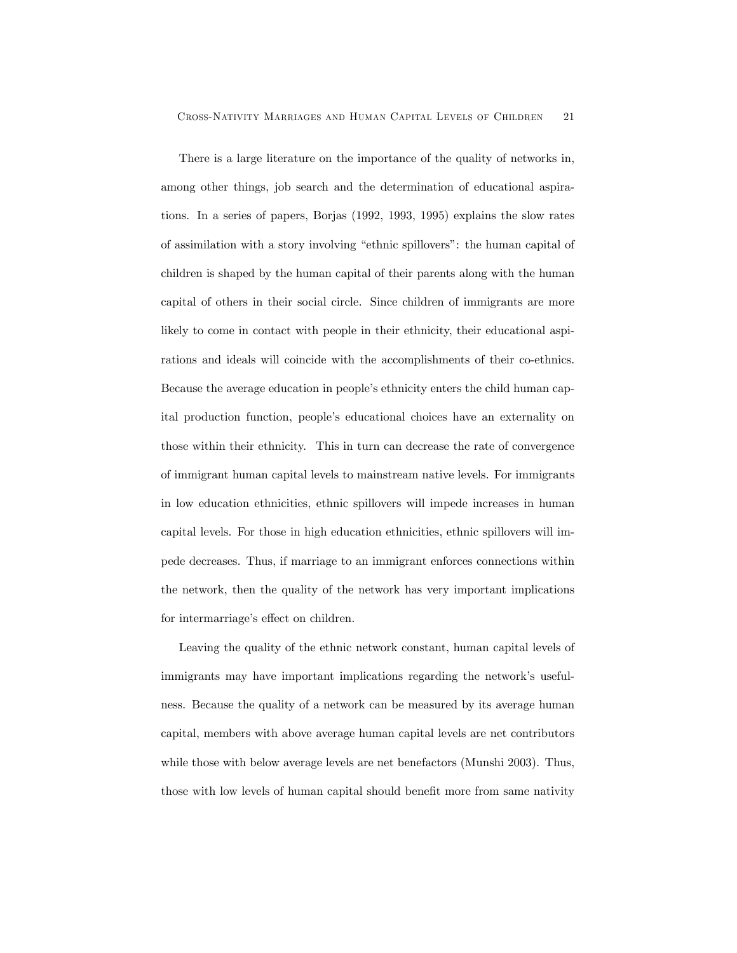There is a large literature on the importance of the quality of networks in, among other things, job search and the determination of educational aspirations. In a series of papers, Borjas (1992, 1993, 1995) explains the slow rates of assimilation with a story involving "ethnic spillovers": the human capital of children is shaped by the human capital of their parents along with the human capital of others in their social circle. Since children of immigrants are more likely to come in contact with people in their ethnicity, their educational aspirations and ideals will coincide with the accomplishments of their co-ethnics. Because the average education in people's ethnicity enters the child human capital production function, people's educational choices have an externality on those within their ethnicity. This in turn can decrease the rate of convergence of immigrant human capital levels to mainstream native levels. For immigrants in low education ethnicities, ethnic spillovers will impede increases in human capital levels. For those in high education ethnicities, ethnic spillovers will impede decreases. Thus, if marriage to an immigrant enforces connections within the network, then the quality of the network has very important implications for intermarriage's effect on children.

Leaving the quality of the ethnic network constant, human capital levels of immigrants may have important implications regarding the network's usefulness. Because the quality of a network can be measured by its average human capital, members with above average human capital levels are net contributors while those with below average levels are net benefactors (Munshi 2003). Thus, those with low levels of human capital should benefit more from same nativity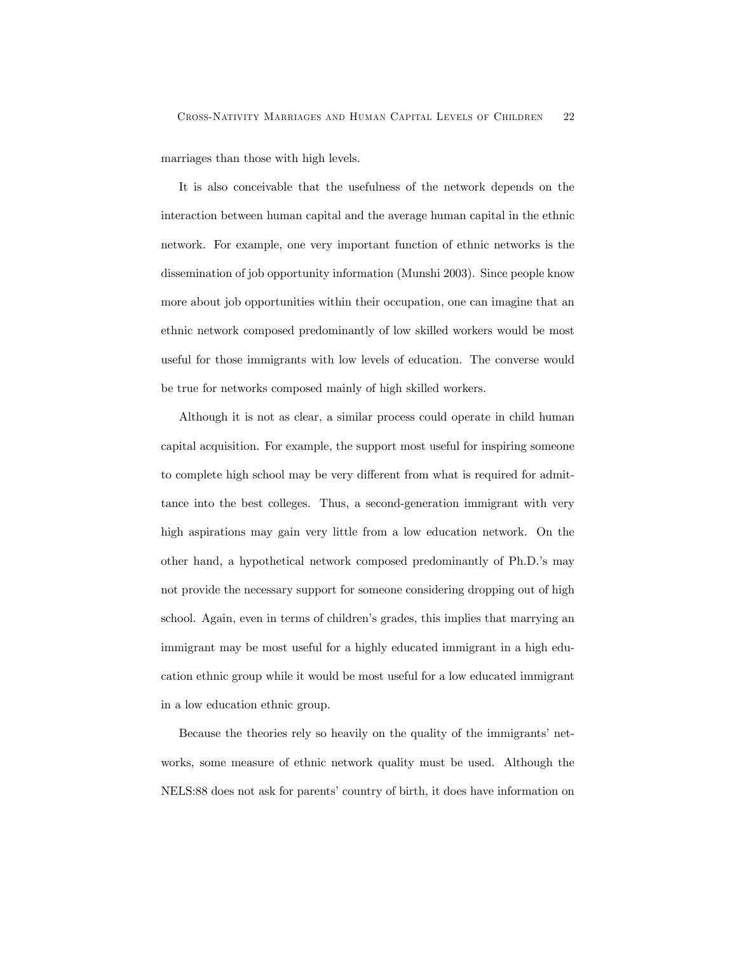marriages than those with high levels.

It is also conceivable that the usefulness of the network depends on the interaction between human capital and the average human capital in the ethnic network. For example, one very important function of ethnic networks is the dissemination of job opportunity information (Munshi 2003). Since people know more about job opportunities within their occupation, one can imagine that an ethnic network composed predominantly of low skilled workers would be most useful for those immigrants with low levels of education. The converse would be true for networks composed mainly of high skilled workers.

Although it is not as clear, a similar process could operate in child human capital acquisition. For example, the support most useful for inspiring someone to complete high school may be very different from what is required for admittance into the best colleges. Thus, a second-generation immigrant with very high aspirations may gain very little from a low education network. On the other hand, a hypothetical network composed predominantly of Ph.D.'s may not provide the necessary support for someone considering dropping out of high school. Again, even in terms of children's grades, this implies that marrying an immigrant may be most useful for a highly educated immigrant in a high education ethnic group while it would be most useful for a low educated immigrant in a low education ethnic group.

Because the theories rely so heavily on the quality of the immigrants' networks, some measure of ethnic network quality must be used. Although the NELS:88 does not ask for parents' country of birth, it does have information on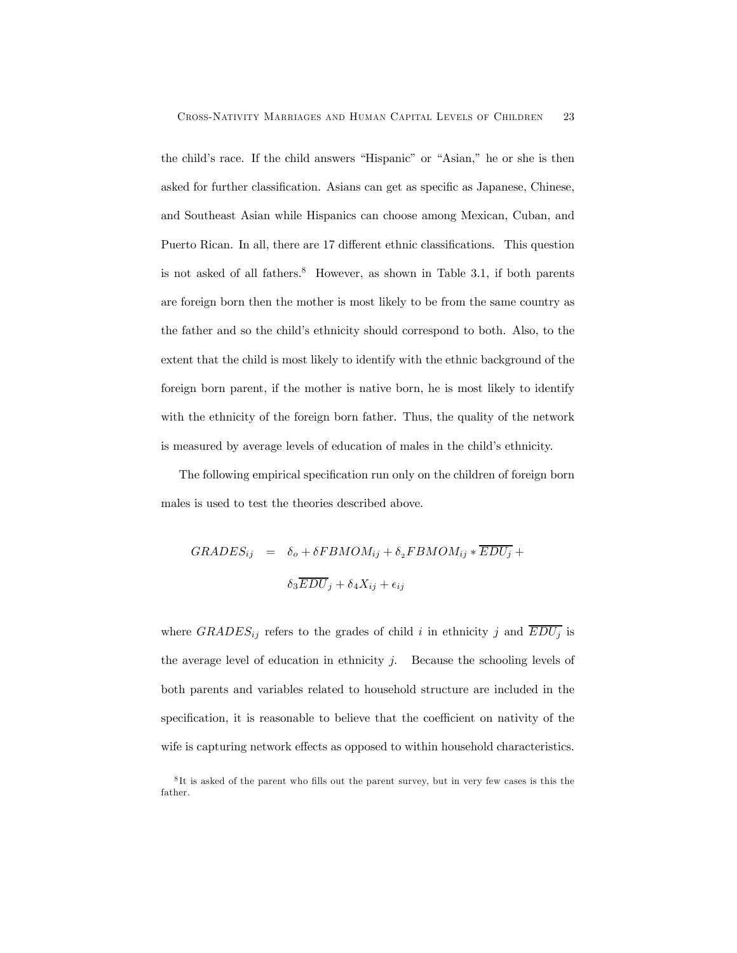the child's race. If the child answers "Hispanic" or "Asian," he or she is then asked for further classification. Asians can get as specific as Japanese, Chinese, and Southeast Asian while Hispanics can choose among Mexican, Cuban, and Puerto Rican. In all, there are 17 different ethnic classifications. This question is not asked of all fathers. $8$  However, as shown in Table 3.1, if both parents are foreign born then the mother is most likely to be from the same country as the father and so the child's ethnicity should correspond to both. Also, to the extent that the child is most likely to identify with the ethnic background of the foreign born parent, if the mother is native born, he is most likely to identify with the ethnicity of the foreign born father. Thus, the quality of the network is measured by average levels of education of males in the child's ethnicity.

The following empirical specification run only on the children of foreign born males is used to test the theories described above.

$$
GRADES_{ij} = \delta_o + \delta FBMOM_{ij} + \delta_2 FBMOM_{ij} * \overline{EDU_j} +
$$

$$
\delta_3 \overline{EDU}_j + \delta_4 X_{ij} + \epsilon_{ij}
$$

where  $GRADES_{ij}$  refers to the grades of child i in ethnicity j and  $\overline{EDU_j}$  is the average level of education in ethnicity  $i$ . Because the schooling levels of both parents and variables related to household structure are included in the specification, it is reasonable to believe that the coefficient on nativity of the wife is capturing network effects as opposed to within household characteristics.

 ${}^{8}$ It is asked of the parent who fills out the parent survey, but in very few cases is this the father.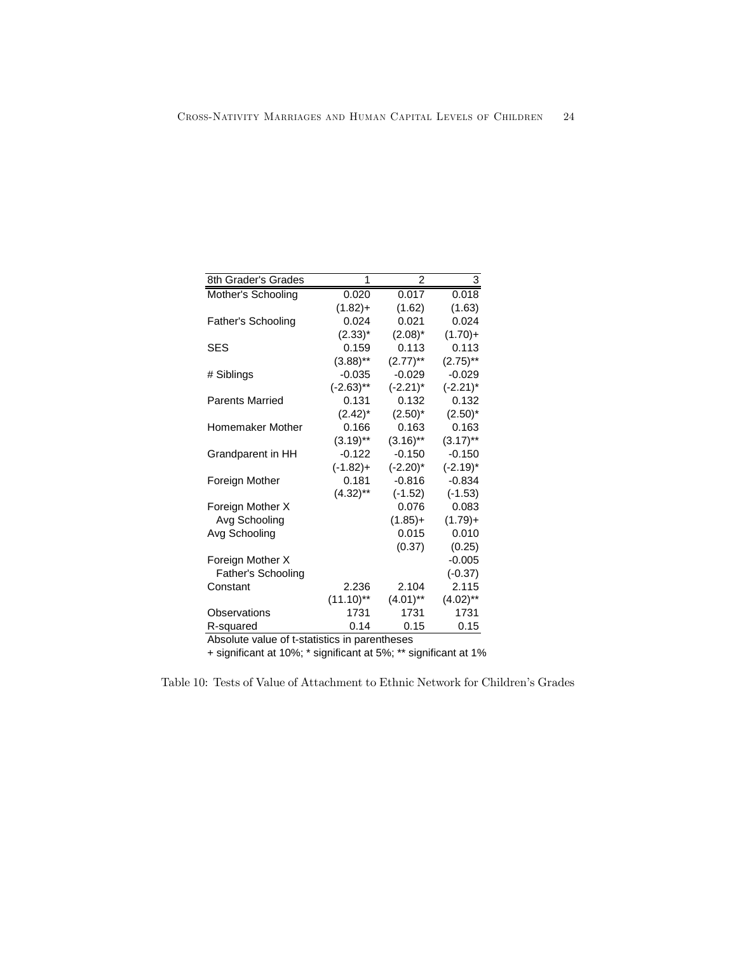| 8th Grader's Grades                         | 1                 | $\overline{2}$ | 3           |
|---------------------------------------------|-------------------|----------------|-------------|
| Mother's Schooling                          | 0.020             | 0.017          | 0.018       |
|                                             | $(1.82)+$         | (1.62)         | (1.63)      |
| Father's Schooling                          | 0.024             | 0.021          | 0.024       |
|                                             | $(2.33)^{*}$      | $(2.08)^*$     | $(1.70)+$   |
| <b>SES</b>                                  | 0.159             | 0.113          | 0.113       |
|                                             | $(3.88)$ **       | $(2.77)$ **    | $(2.75)$ ** |
| # Siblings                                  | $-0.035$          | $-0.029$       | $-0.029$    |
|                                             | $(-2.63)$ **      | $(-2.21)^*$    | $(-2.21)^*$ |
| <b>Parents Married</b>                      | 0.131             | 0.132          | 0.132       |
|                                             | $(2.42)^*$        | $(2.50)^*$     | $(2.50)^*$  |
| Homemaker Mother                            | 0.166             | 0.163          | 0.163       |
|                                             | $(3.19)$ **       | $(3.16)$ **    | $(3.17)$ ** |
| Grandparent in HH                           | $-0.122$          | $-0.150$       | $-0.150$    |
|                                             | $(-1.82)+$        | $(-2.20)^*$    | $(-2.19)^*$ |
| Foreign Mother                              | 0.181             | $-0.816$       | $-0.834$    |
|                                             | $(4.32)$ **       | $(-1.52)$      | $(-1.53)$   |
| Foreign Mother X                            |                   | 0.076          | 0.083       |
| Avg Schooling                               |                   | $(1.85)+$      | $(1.79)+$   |
| Avg Schooling                               |                   | 0.015          | 0.010       |
|                                             |                   | (0.37)         | (0.25)      |
| Foreign Mother X                            |                   |                | $-0.005$    |
| Father's Schooling                          |                   |                | $(-0.37)$   |
| Constant                                    | 2.236             | 2.104          | 2.115       |
|                                             | $(11.10)$ **      | $(4.01)$ **    | $(4.02)$ ** |
| Observations                                | 1731              | 1731           | 1731        |
| R-squared<br>ō.<br>. .<br>AL.<br>المتسابقين | 0.14<br>$\cdot$ : | 0.15<br>4 L.   | 0.15        |

Absolute value of t-statistics in parentheses

+ significant at 10%; \* significant at 5%; \*\* significant at 1%

Table 10: Tests of Value of Attachment to Ethnic Network for Children's Grades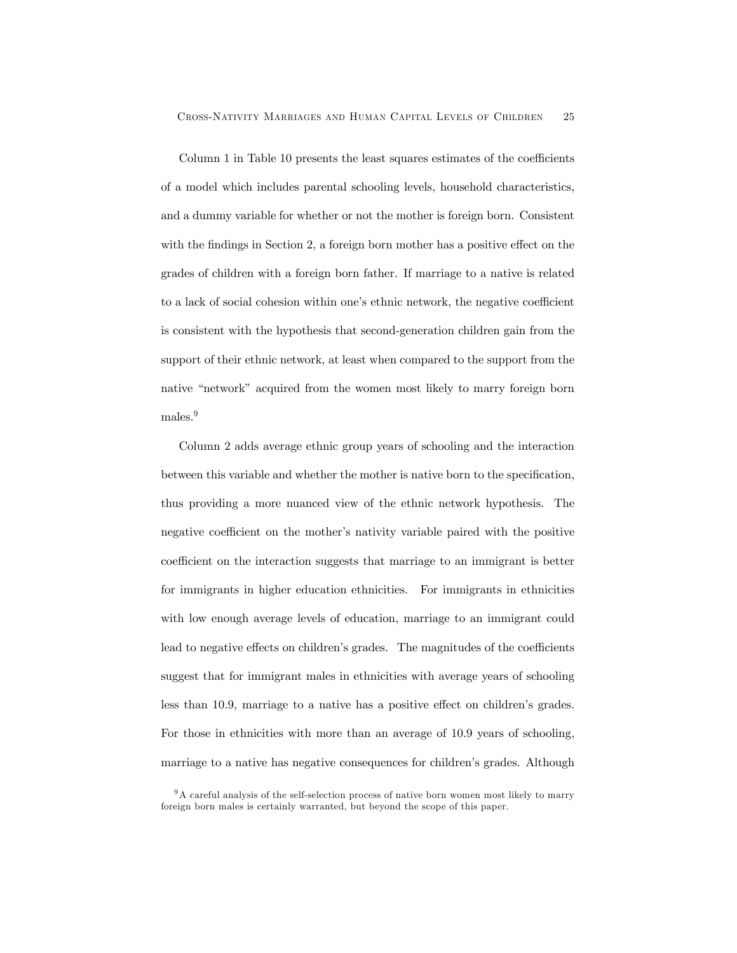Column 1 in Table 10 presents the least squares estimates of the coefficients of a model which includes parental schooling levels, household characteristics, and a dummy variable for whether or not the mother is foreign born. Consistent with the findings in Section 2, a foreign born mother has a positive effect on the grades of children with a foreign born father. If marriage to a native is related to a lack of social cohesion within one's ethnic network, the negative coefficient is consistent with the hypothesis that second-generation children gain from the support of their ethnic network, at least when compared to the support from the native "network" acquired from the women most likely to marry foreign born males.<sup>9</sup>

Column 2 adds average ethnic group years of schooling and the interaction between this variable and whether the mother is native born to the specification, thus providing a more nuanced view of the ethnic network hypothesis. The negative coefficient on the mother's nativity variable paired with the positive coefficient on the interaction suggests that marriage to an immigrant is better for immigrants in higher education ethnicities. For immigrants in ethnicities with low enough average levels of education, marriage to an immigrant could lead to negative effects on children's grades. The magnitudes of the coefficients suggest that for immigrant males in ethnicities with average years of schooling less than 10.9, marriage to a native has a positive effect on children's grades. For those in ethnicities with more than an average of 10.9 years of schooling, marriage to a native has negative consequences for children's grades. Although

 $9A$  careful analysis of the self-selection process of native born women most likely to marry foreign born males is certainly warranted, but beyond the scope of this paper.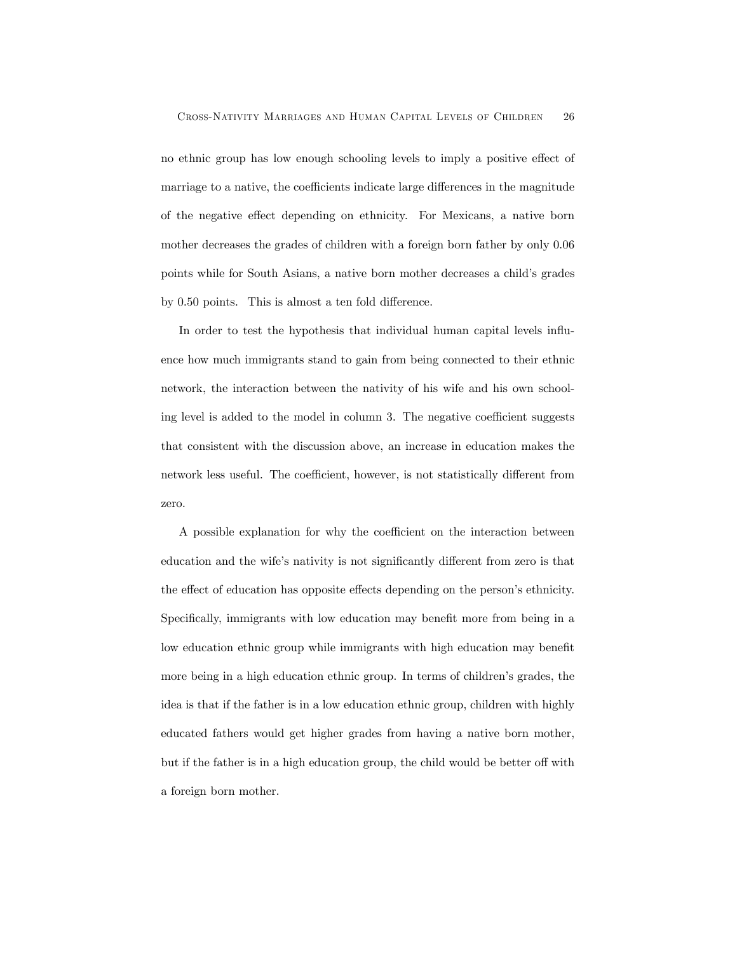no ethnic group has low enough schooling levels to imply a positive effect of marriage to a native, the coefficients indicate large differences in the magnitude of the negative effect depending on ethnicity. For Mexicans, a native born mother decreases the grades of children with a foreign born father by only 0.06 points while for South Asians, a native born mother decreases a child's grades by 0.50 points. This is almost a ten fold difference.

In order to test the hypothesis that individual human capital levels influence how much immigrants stand to gain from being connected to their ethnic network, the interaction between the nativity of his wife and his own schooling level is added to the model in column 3. The negative coefficient suggests that consistent with the discussion above, an increase in education makes the network less useful. The coefficient, however, is not statistically different from zero.

A possible explanation for why the coefficient on the interaction between education and the wife's nativity is not significantly different from zero is that the effect of education has opposite effects depending on the person's ethnicity. Specifically, immigrants with low education may benefit more from being in a low education ethnic group while immigrants with high education may benefit more being in a high education ethnic group. In terms of children's grades, the idea is that if the father is in a low education ethnic group, children with highly educated fathers would get higher grades from having a native born mother, but if the father is in a high education group, the child would be better off with a foreign born mother.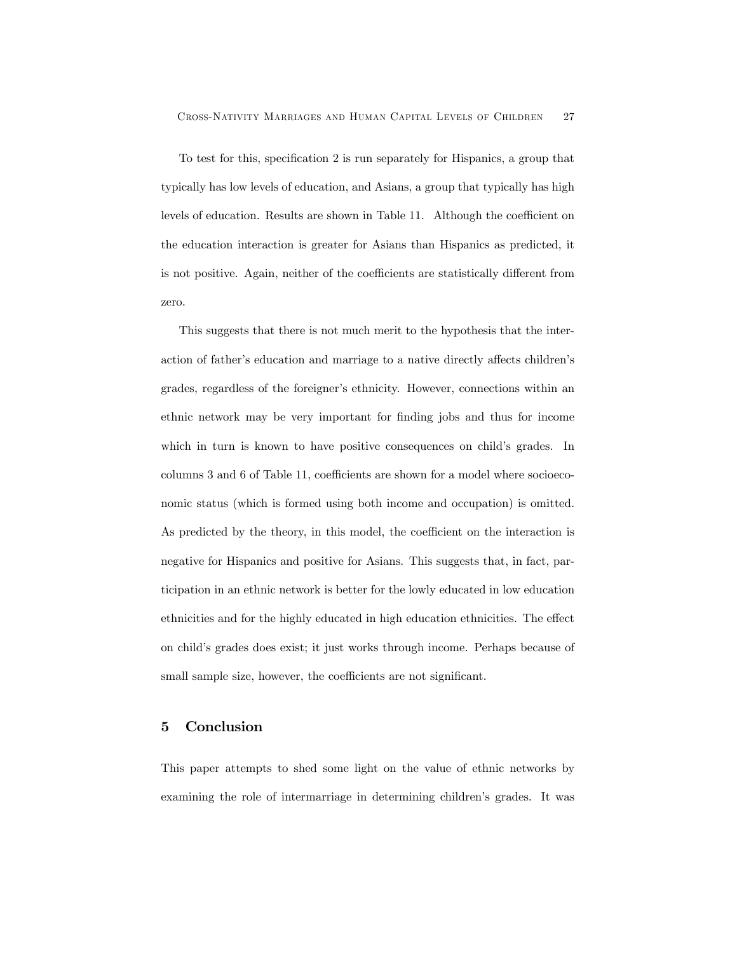To test for this, specification 2 is run separately for Hispanics, a group that typically has low levels of education, and Asians, a group that typically has high levels of education. Results are shown in Table 11. Although the coefficient on the education interaction is greater for Asians than Hispanics as predicted, it is not positive. Again, neither of the coefficients are statistically different from zero.

This suggests that there is not much merit to the hypothesis that the interaction of father's education and marriage to a native directly affects children's grades, regardless of the foreigner's ethnicity. However, connections within an ethnic network may be very important for finding jobs and thus for income which in turn is known to have positive consequences on child's grades. In columns 3 and 6 of Table 11, coefficients are shown for a model where socioeconomic status (which is formed using both income and occupation) is omitted. As predicted by the theory, in this model, the coefficient on the interaction is negative for Hispanics and positive for Asians. This suggests that, in fact, participation in an ethnic network is better for the lowly educated in low education ethnicities and for the highly educated in high education ethnicities. The effect on child's grades does exist; it just works through income. Perhaps because of small sample size, however, the coefficients are not significant.

## 5 Conclusion

This paper attempts to shed some light on the value of ethnic networks by examining the role of intermarriage in determining children's grades. It was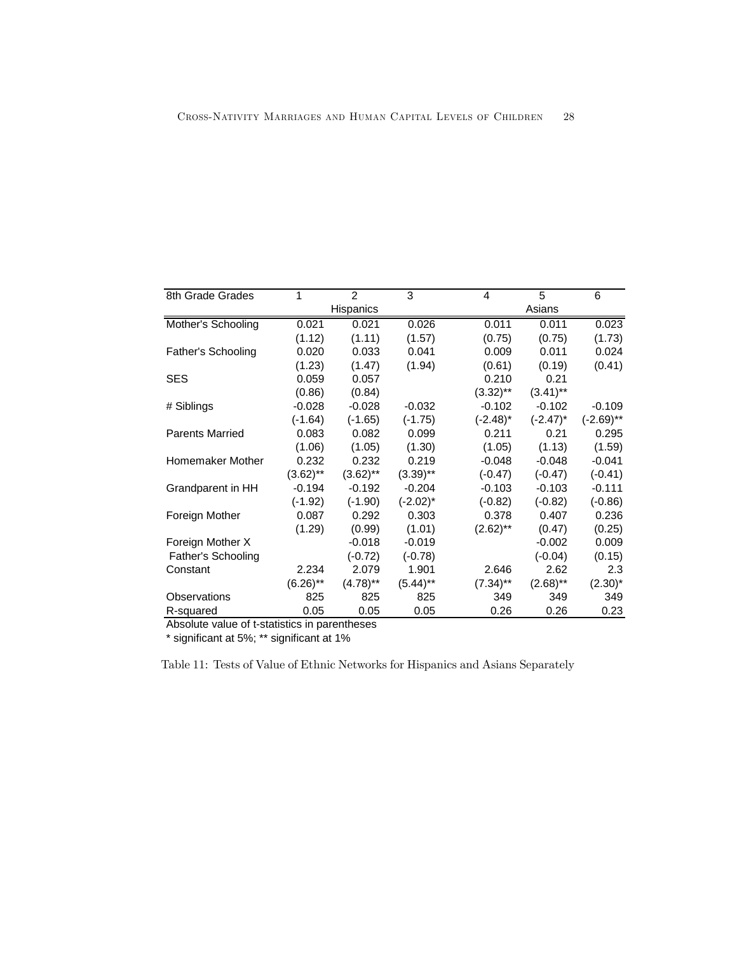| 8th Grade Grades       | 1           | 2           | 3           | 4           | 5           | 6            |
|------------------------|-------------|-------------|-------------|-------------|-------------|--------------|
|                        |             | Hispanics   |             |             | Asians      |              |
| Mother's Schooling     | 0.021       | 0.021       | 0.026       | 0.011       | 0.011       | 0.023        |
|                        | (1.12)      | (1.11)      | (1.57)      | (0.75)      | (0.75)      | (1.73)       |
| Father's Schooling     | 0.020       | 0.033       | 0.041       | 0.009       | 0.011       | 0.024        |
|                        | (1.23)      | (1.47)      | (1.94)      | (0.61)      | (0.19)      | (0.41)       |
| <b>SES</b>             | 0.059       | 0.057       |             | 0.210       | 0.21        |              |
|                        | (0.86)      | (0.84)      |             | $(3.32)$ ** | $(3.41)$ ** |              |
| # Siblings             | $-0.028$    | $-0.028$    | $-0.032$    | $-0.102$    | $-0.102$    | $-0.109$     |
|                        | $(-1.64)$   | $(-1.65)$   | $(-1.75)$   | $(-2.48)^*$ | $(-2.47)^*$ | $(-2.69)$ ** |
| <b>Parents Married</b> | 0.083       | 0.082       | 0.099       | 0.211       | 0.21        | 0.295        |
|                        | (1.06)      | (1.05)      | (1.30)      | (1.05)      | (1.13)      | (1.59)       |
| Homemaker Mother       | 0.232       | 0.232       | 0.219       | $-0.048$    | $-0.048$    | $-0.041$     |
|                        | $(3.62)$ ** | $(3.62)$ ** | $(3.39)$ ** | $(-0.47)$   | $(-0.47)$   | $(-0.41)$    |
| Grandparent in HH      | $-0.194$    | $-0.192$    | $-0.204$    | $-0.103$    | $-0.103$    | $-0.111$     |
|                        | $(-1.92)$   | $(-1.90)$   | $(-2.02)^*$ | $(-0.82)$   | $(-0.82)$   | $(-0.86)$    |
| Foreign Mother         | 0.087       | 0.292       | 0.303       | 0.378       | 0.407       | 0.236        |
|                        | (1.29)      | (0.99)      | (1.01)      | $(2.62)$ ** | (0.47)      | (0.25)       |
| Foreign Mother X       |             | $-0.018$    | $-0.019$    |             | $-0.002$    | 0.009        |
| Father's Schooling     |             | $(-0.72)$   | $(-0.78)$   |             | $(-0.04)$   | (0.15)       |
| Constant               | 2.234       | 2.079       | 1.901       | 2.646       | 2.62        | 2.3          |
|                        | $(6.26)$ ** | $(4.78)$ ** | $(5.44)$ ** | $(7.34)$ ** | $(2.68)$ ** | $(2.30)^*$   |
| Observations           | 825         | 825         | 825         | 349         | 349         | 349          |
| R-squared              | 0.05        | 0.05        | 0.05        | 0.26        | 0.26        | 0.23         |

Absolute value of t-statistics in parentheses

\* significant at 5%; \*\* significant at 1%

Table 11: Tests of Value of Ethnic Networks for Hispanics and Asians Separately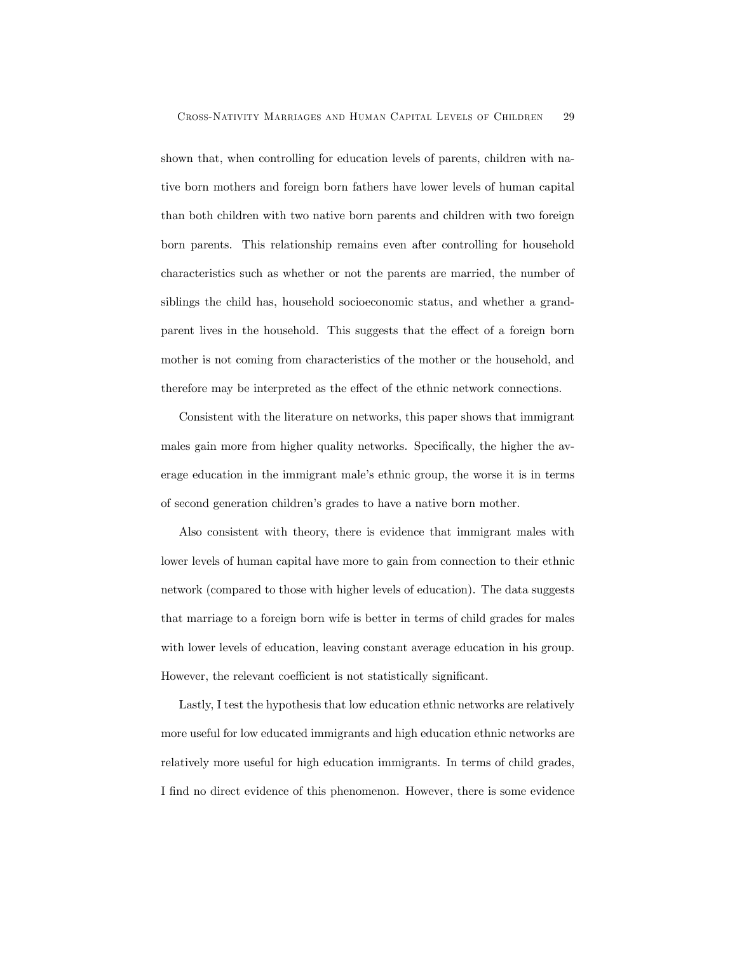shown that, when controlling for education levels of parents, children with native born mothers and foreign born fathers have lower levels of human capital than both children with two native born parents and children with two foreign born parents. This relationship remains even after controlling for household characteristics such as whether or not the parents are married, the number of siblings the child has, household socioeconomic status, and whether a grandparent lives in the household. This suggests that the effect of a foreign born mother is not coming from characteristics of the mother or the household, and therefore may be interpreted as the effect of the ethnic network connections.

Consistent with the literature on networks, this paper shows that immigrant males gain more from higher quality networks. Specifically, the higher the average education in the immigrant male's ethnic group, the worse it is in terms of second generation children's grades to have a native born mother.

Also consistent with theory, there is evidence that immigrant males with lower levels of human capital have more to gain from connection to their ethnic network (compared to those with higher levels of education). The data suggests that marriage to a foreign born wife is better in terms of child grades for males with lower levels of education, leaving constant average education in his group. However, the relevant coefficient is not statistically significant.

Lastly, I test the hypothesis that low education ethnic networks are relatively more useful for low educated immigrants and high education ethnic networks are relatively more useful for high education immigrants. In terms of child grades, I find no direct evidence of this phenomenon. However, there is some evidence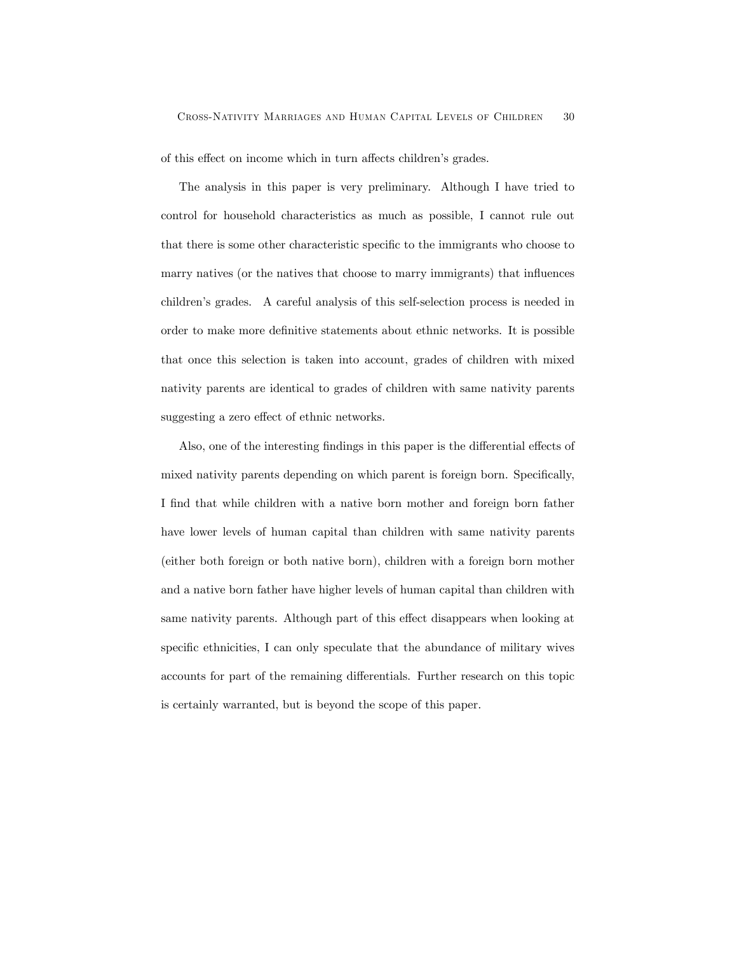of this effect on income which in turn affects children's grades.

The analysis in this paper is very preliminary. Although I have tried to control for household characteristics as much as possible, I cannot rule out that there is some other characteristic specific to the immigrants who choose to marry natives (or the natives that choose to marry immigrants) that influences children's grades. A careful analysis of this self-selection process is needed in order to make more definitive statements about ethnic networks. It is possible that once this selection is taken into account, grades of children with mixed nativity parents are identical to grades of children with same nativity parents suggesting a zero effect of ethnic networks.

Also, one of the interesting findings in this paper is the differential effects of mixed nativity parents depending on which parent is foreign born. Specifically, I find that while children with a native born mother and foreign born father have lower levels of human capital than children with same nativity parents (either both foreign or both native born), children with a foreign born mother and a native born father have higher levels of human capital than children with same nativity parents. Although part of this effect disappears when looking at specific ethnicities, I can only speculate that the abundance of military wives accounts for part of the remaining differentials. Further research on this topic is certainly warranted, but is beyond the scope of this paper.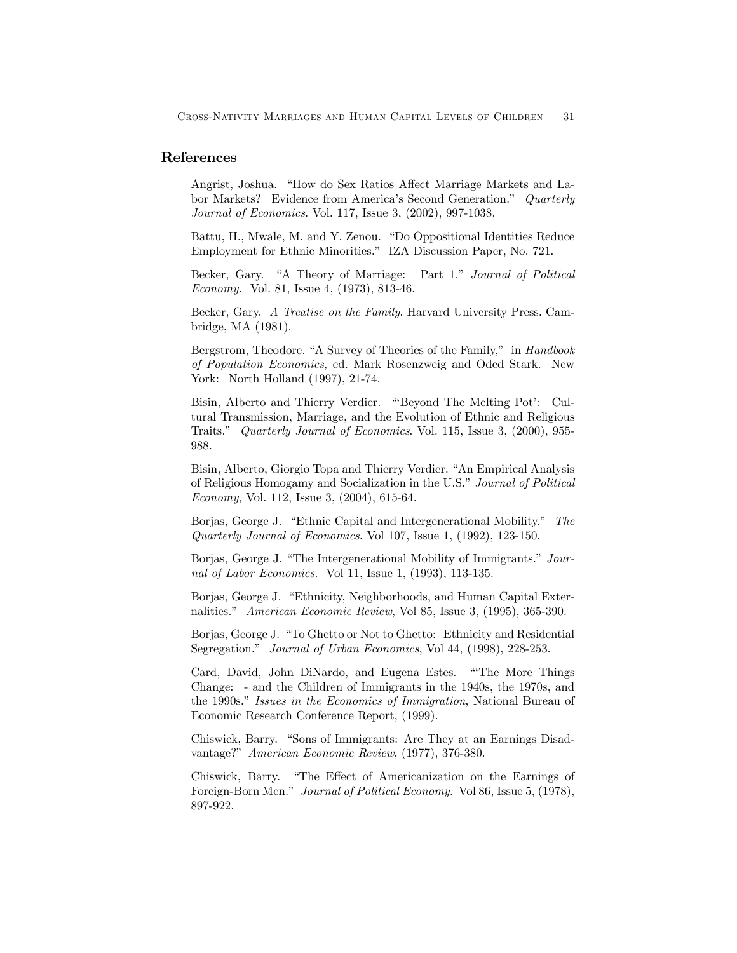## References

Angrist, Joshua. "How do Sex Ratios Affect Marriage Markets and Labor Markets? Evidence from America's Second Generation." Quarterly Journal of Economics. Vol. 117, Issue 3, (2002), 997-1038.

Battu, H., Mwale, M. and Y. Zenou. "Do Oppositional Identities Reduce Employment for Ethnic Minorities." IZA Discussion Paper, No. 721.

Becker, Gary. "A Theory of Marriage: Part 1." Journal of Political Economy. Vol. 81, Issue 4, (1973), 813-46.

Becker, Gary. A Treatise on the Family. Harvard University Press. Cambridge, MA (1981).

Bergstrom, Theodore. "A Survey of Theories of the Family," in Handbook of Population Economics, ed. Mark Rosenzweig and Oded Stark. New York: North Holland (1997), 21-74.

Bisin, Alberto and Thierry Verdier. "'Beyond The Melting Pot': Cultural Transmission, Marriage, and the Evolution of Ethnic and Religious Traits." Quarterly Journal of Economics. Vol. 115, Issue 3, (2000), 955- 988.

Bisin, Alberto, Giorgio Topa and Thierry Verdier. "An Empirical Analysis of Religious Homogamy and Socialization in the U.S." Journal of Political Economy, Vol. 112, Issue 3, (2004), 615-64.

Borjas, George J. "Ethnic Capital and Intergenerational Mobility." The Quarterly Journal of Economics. Vol 107, Issue 1, (1992), 123-150.

Borjas, George J. "The Intergenerational Mobility of Immigrants." Journal of Labor Economics. Vol 11, Issue 1, (1993), 113-135.

Borjas, George J. "Ethnicity, Neighborhoods, and Human Capital Externalities." American Economic Review, Vol 85, Issue 3, (1995), 365-390.

Borjas, George J. "To Ghetto or Not to Ghetto: Ethnicity and Residential Segregation." Journal of Urban Economics, Vol 44, (1998), 228-253.

Card, David, John DiNardo, and Eugena Estes. "'The More Things Change: - and the Children of Immigrants in the 1940s, the 1970s, and the 1990s." Issues in the Economics of Immigration, National Bureau of Economic Research Conference Report, (1999).

Chiswick, Barry. "Sons of Immigrants: Are They at an Earnings Disadvantage?" American Economic Review, (1977), 376-380.

Chiswick, Barry. "The Effect of Americanization on the Earnings of Foreign-Born Men." Journal of Political Economy. Vol 86, Issue 5, (1978), 897-922.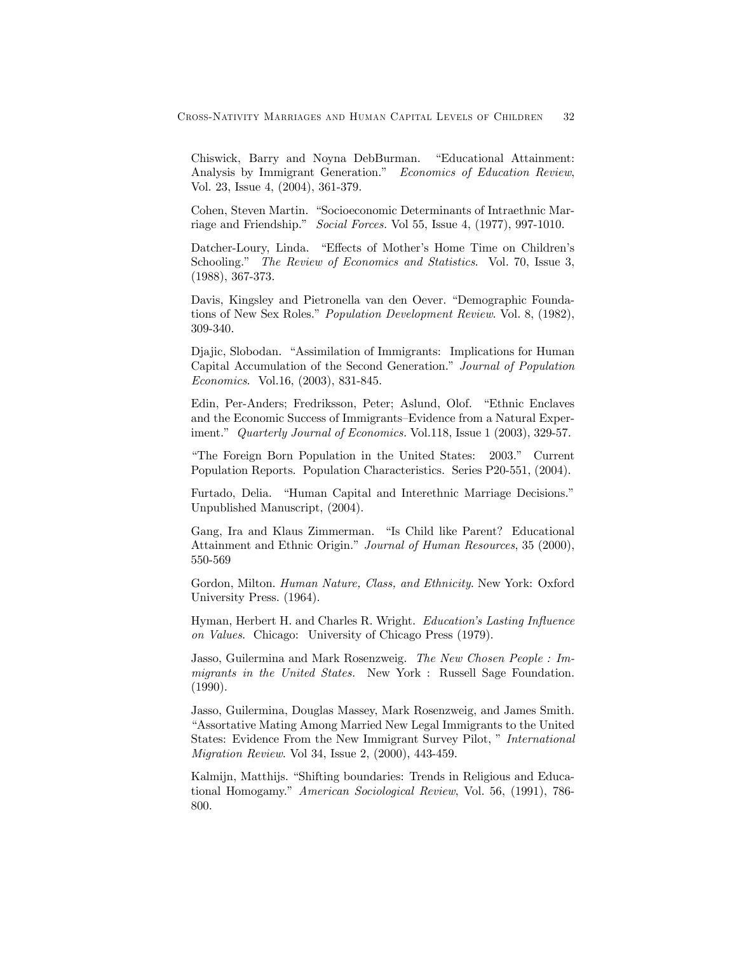Chiswick, Barry and Noyna DebBurman. "Educational Attainment: Analysis by Immigrant Generation." Economics of Education Review, Vol. 23, Issue 4, (2004), 361-379.

Cohen, Steven Martin. "Socioeconomic Determinants of Intraethnic Marriage and Friendship." Social Forces. Vol 55, Issue 4, (1977), 997-1010.

Datcher-Loury, Linda. "Effects of Mother's Home Time on Children's Schooling." The Review of Economics and Statistics. Vol. 70, Issue 3, (1988), 367-373.

Davis, Kingsley and Pietronella van den Oever. "Demographic Foundations of New Sex Roles." Population Development Review. Vol. 8, (1982), 309-340.

Djajic, Slobodan. "Assimilation of Immigrants: Implications for Human Capital Accumulation of the Second Generation." Journal of Population Economics. Vol.16, (2003), 831-845.

Edin, Per-Anders; Fredriksson, Peter; Aslund, Olof. "Ethnic Enclaves and the Economic Success of Immigrants—Evidence from a Natural Experiment." Quarterly Journal of Economics. Vol.118, Issue 1 (2003), 329-57.

"The Foreign Born Population in the United States: 2003." Current Population Reports. Population Characteristics. Series P20-551, (2004).

Furtado, Delia. "Human Capital and Interethnic Marriage Decisions." Unpublished Manuscript, (2004).

Gang, Ira and Klaus Zimmerman. "Is Child like Parent? Educational Attainment and Ethnic Origin." Journal of Human Resources, 35 (2000), 550-569

Gordon, Milton. Human Nature, Class, and Ethnicity. New York: Oxford University Press. (1964).

Hyman, Herbert H. and Charles R. Wright. Education's Lasting Influence on Values. Chicago: University of Chicago Press (1979).

Jasso, Guilermina and Mark Rosenzweig. The New Chosen People : Immigrants in the United States. New York : Russell Sage Foundation. (1990).

Jasso, Guilermina, Douglas Massey, Mark Rosenzweig, and James Smith. "Assortative Mating Among Married New Legal Immigrants to the United States: Evidence From the New Immigrant Survey Pilot, " International Migration Review. Vol 34, Issue 2, (2000), 443-459.

Kalmijn, Matthijs. "Shifting boundaries: Trends in Religious and Educational Homogamy." American Sociological Review, Vol. 56, (1991), 786- 800.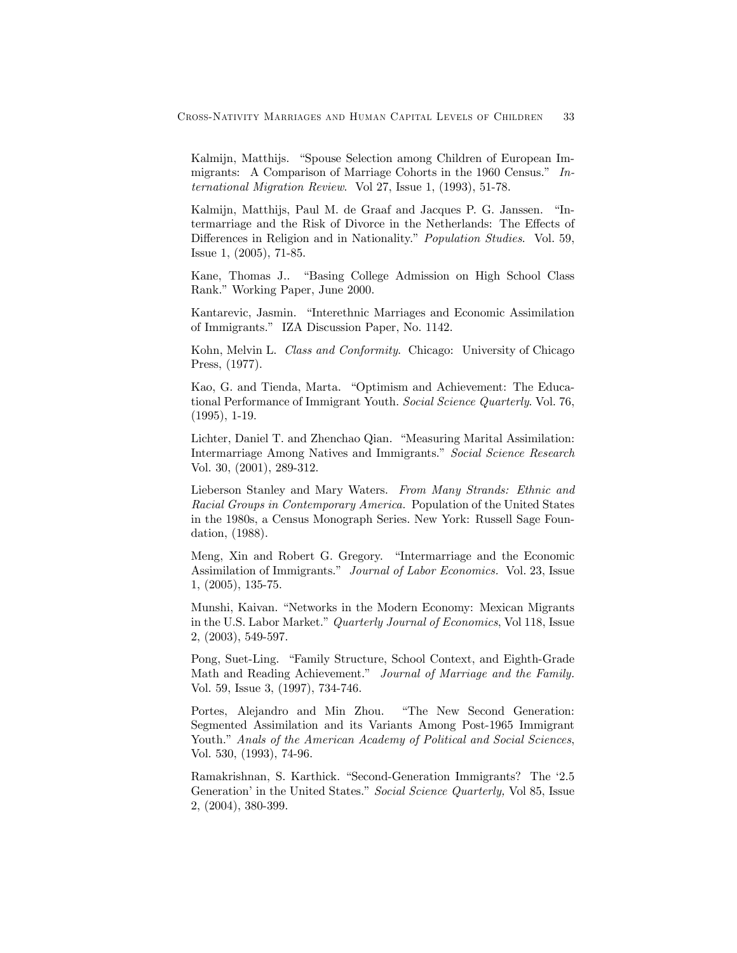Kalmijn, Matthijs. "Spouse Selection among Children of European Immigrants: A Comparison of Marriage Cohorts in the 1960 Census." International Migration Review. Vol 27, Issue 1, (1993), 51-78.

Kalmijn, Matthijs, Paul M. de Graaf and Jacques P. G. Janssen. "Intermarriage and the Risk of Divorce in the Netherlands: The Effects of Differences in Religion and in Nationality." *Population Studies*. Vol. 59, Issue 1, (2005), 71-85.

Kane, Thomas J.. "Basing College Admission on High School Class Rank." Working Paper, June 2000.

Kantarevic, Jasmin. "Interethnic Marriages and Economic Assimilation of Immigrants." IZA Discussion Paper, No. 1142.

Kohn, Melvin L. Class and Conformity. Chicago: University of Chicago Press, (1977).

Kao, G. and Tienda, Marta. "Optimism and Achievement: The Educational Performance of Immigrant Youth. Social Science Quarterly. Vol. 76, (1995), 1-19.

Lichter, Daniel T. and Zhenchao Qian. "Measuring Marital Assimilation: Intermarriage Among Natives and Immigrants." Social Science Research Vol. 30, (2001), 289-312.

Lieberson Stanley and Mary Waters. From Many Strands: Ethnic and Racial Groups in Contemporary America. Population of the United States in the 1980s, a Census Monograph Series. New York: Russell Sage Foundation, (1988).

Meng, Xin and Robert G. Gregory. "Intermarriage and the Economic Assimilation of Immigrants." *Journal of Labor Economics*. Vol. 23, Issue 1, (2005), 135-75.

Munshi, Kaivan. "Networks in the Modern Economy: Mexican Migrants in the U.S. Labor Market." Quarterly Journal of Economics, Vol 118, Issue 2, (2003), 549-597.

Pong, Suet-Ling. "Family Structure, School Context, and Eighth-Grade Math and Reading Achievement." Journal of Marriage and the Family. Vol. 59, Issue 3, (1997), 734-746.

Portes, Alejandro and Min Zhou. "The New Second Generation: Segmented Assimilation and its Variants Among Post-1965 Immigrant Youth." Anals of the American Academy of Political and Social Sciences, Vol. 530, (1993), 74-96.

Ramakrishnan, S. Karthick. "Second-Generation Immigrants? The '2.5 Generation' in the United States." Social Science Quarterly, Vol 85, Issue 2, (2004), 380-399.